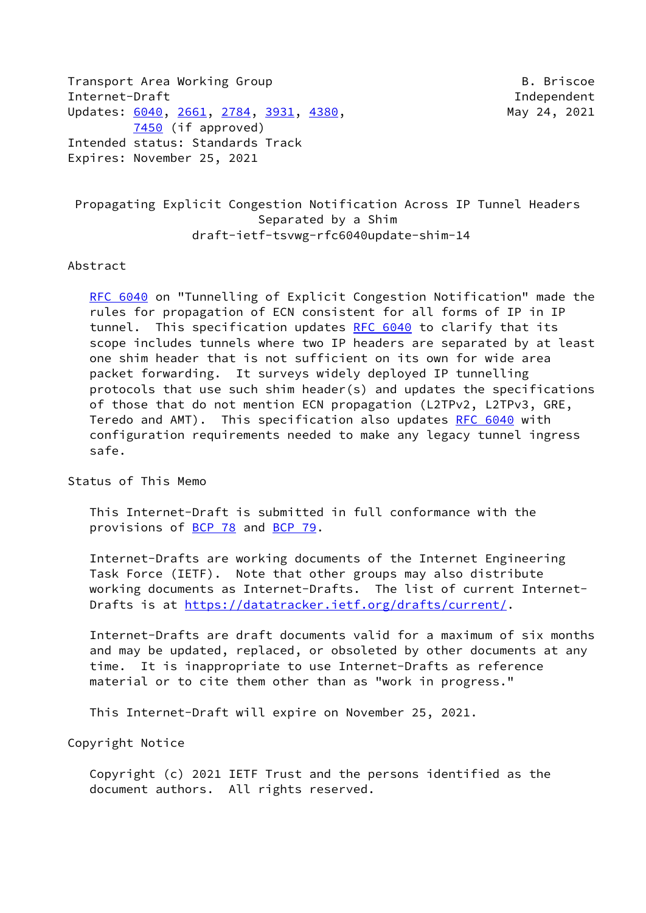Transport Area Working Group B. Briscoe B. Briscoe Internet-Draft Independent Updates: [6040](https://datatracker.ietf.org/doc/pdf/rfc6040), [2661,](https://datatracker.ietf.org/doc/pdf/rfc2661) [2784](https://datatracker.ietf.org/doc/pdf/rfc2784), [3931](https://datatracker.ietf.org/doc/pdf/rfc3931), [4380](https://datatracker.ietf.org/doc/pdf/rfc4380), May 24, 2021 [7450](https://datatracker.ietf.org/doc/pdf/rfc7450) (if approved) Intended status: Standards Track Expires: November 25, 2021

 Propagating Explicit Congestion Notification Across IP Tunnel Headers Separated by a Shim draft-ietf-tsvwg-rfc6040update-shim-14

#### Abstract

[RFC 6040](https://datatracker.ietf.org/doc/pdf/rfc6040) on "Tunnelling of Explicit Congestion Notification" made the rules for propagation of ECN consistent for all forms of IP in IP tunnel. This specification updates [RFC 6040](https://datatracker.ietf.org/doc/pdf/rfc6040) to clarify that its scope includes tunnels where two IP headers are separated by at least one shim header that is not sufficient on its own for wide area packet forwarding. It surveys widely deployed IP tunnelling protocols that use such shim header(s) and updates the specifications of those that do not mention ECN propagation (L2TPv2, L2TPv3, GRE, Teredo and AMT). This specification also updates [RFC 6040](https://datatracker.ietf.org/doc/pdf/rfc6040) with configuration requirements needed to make any legacy tunnel ingress safe.

Status of This Memo

 This Internet-Draft is submitted in full conformance with the provisions of [BCP 78](https://datatracker.ietf.org/doc/pdf/bcp78) and [BCP 79](https://datatracker.ietf.org/doc/pdf/bcp79).

 Internet-Drafts are working documents of the Internet Engineering Task Force (IETF). Note that other groups may also distribute working documents as Internet-Drafts. The list of current Internet- Drafts is at<https://datatracker.ietf.org/drafts/current/>.

 Internet-Drafts are draft documents valid for a maximum of six months and may be updated, replaced, or obsoleted by other documents at any time. It is inappropriate to use Internet-Drafts as reference material or to cite them other than as "work in progress."

This Internet-Draft will expire on November 25, 2021.

Copyright Notice

 Copyright (c) 2021 IETF Trust and the persons identified as the document authors. All rights reserved.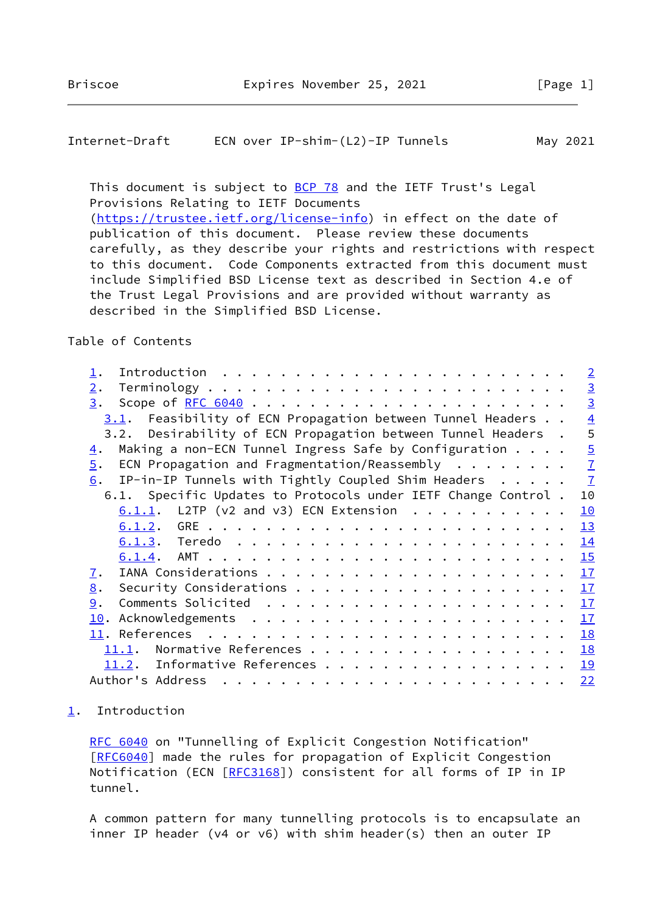### <span id="page-1-1"></span>Internet-Draft ECN over IP-shim-(L2)-IP Tunnels May 2021

This document is subject to [BCP 78](https://datatracker.ietf.org/doc/pdf/bcp78) and the IETF Trust's Legal Provisions Relating to IETF Documents [\(https://trustee.ietf.org/license-info](https://trustee.ietf.org/license-info)) in effect on the date of publication of this document. Please review these documents carefully, as they describe your rights and restrictions with respect to this document. Code Components extracted from this document must include Simplified BSD License text as described in Section 4.e of the Trust Legal Provisions and are provided without warranty as

described in the Simplified BSD License.

Table of Contents

|                                                                                          | $\overline{2}$ |
|------------------------------------------------------------------------------------------|----------------|
| 2.                                                                                       | $\overline{3}$ |
| 3.                                                                                       | $\overline{3}$ |
| Feasibility of ECN Propagation between Tunnel Headers<br>3.1.                            | $\overline{4}$ |
| Desirability of ECN Propagation between Tunnel Headers.<br>3.2.                          | 5              |
| Making a non-ECN Tunnel Ingress Safe by Configuration<br>4.                              | $\overline{5}$ |
| ECN Propagation and Fragmentation/Reassembly $\cdot \cdot \cdot \cdot \cdot \cdot$<br>5. | $\overline{1}$ |
| IP-in-IP Tunnels with Tightly Coupled Shim Headers $\frac{7}{1}$<br>6.                   |                |
| 6.1. Specific Updates to Protocols under IETF Change Control.                            | 10             |
| $6.1.1$ . L2TP (v2 and v3) ECN Extension                                                 | 10             |
|                                                                                          | 13             |
|                                                                                          | 14             |
|                                                                                          | 15             |
| 7.                                                                                       | 17             |
| 8.                                                                                       | 17             |
| 9.                                                                                       | 17             |
| 10.                                                                                      | 17             |
|                                                                                          | 18             |
| 11.1.                                                                                    | 18             |
| 11.2. Informative References                                                             | 19             |
| Author's Address                                                                         | 22             |

# <span id="page-1-0"></span>[1](#page-1-0). Introduction

[RFC 6040](https://datatracker.ietf.org/doc/pdf/rfc6040) on "Tunnelling of Explicit Congestion Notification" [\[RFC6040](https://datatracker.ietf.org/doc/pdf/rfc6040)] made the rules for propagation of Explicit Congestion Notification (ECN [[RFC3168](https://datatracker.ietf.org/doc/pdf/rfc3168)]) consistent for all forms of IP in IP tunnel.

 A common pattern for many tunnelling protocols is to encapsulate an inner IP header (v4 or v6) with shim header(s) then an outer IP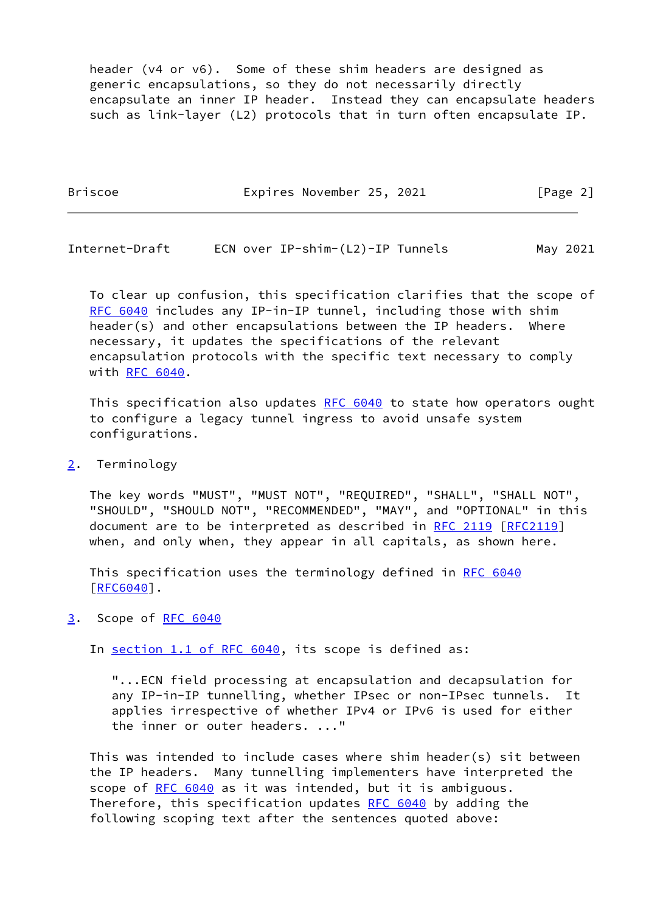header (v4 or v6). Some of these shim headers are designed as generic encapsulations, so they do not necessarily directly encapsulate an inner IP header. Instead they can encapsulate headers such as link-layer (L2) protocols that in turn often encapsulate IP.

| <b>Briscoe</b> | Expires November 25, 2021 |  | [Page 2] |
|----------------|---------------------------|--|----------|
|                |                           |  |          |

<span id="page-2-1"></span>

| Internet-Draft |  | ECN over IP-shim-(L2)-IP Tunnels |  | May 2021 |
|----------------|--|----------------------------------|--|----------|
|----------------|--|----------------------------------|--|----------|

 To clear up confusion, this specification clarifies that the scope of [RFC 6040](https://datatracker.ietf.org/doc/pdf/rfc6040) includes any IP-in-IP tunnel, including those with shim header(s) and other encapsulations between the IP headers. Where necessary, it updates the specifications of the relevant encapsulation protocols with the specific text necessary to comply with [RFC 6040](https://datatracker.ietf.org/doc/pdf/rfc6040).

This specification also updates [RFC 6040](https://datatracker.ietf.org/doc/pdf/rfc6040) to state how operators ought to configure a legacy tunnel ingress to avoid unsafe system configurations.

<span id="page-2-0"></span>[2](#page-2-0). Terminology

 The key words "MUST", "MUST NOT", "REQUIRED", "SHALL", "SHALL NOT", "SHOULD", "SHOULD NOT", "RECOMMENDED", "MAY", and "OPTIONAL" in this document are to be interpreted as described in [RFC 2119 \[RFC2119](https://datatracker.ietf.org/doc/pdf/rfc2119)] when, and only when, they appear in all capitals, as shown here.

 This specification uses the terminology defined in [RFC 6040](https://datatracker.ietf.org/doc/pdf/rfc6040) [\[RFC6040](https://datatracker.ietf.org/doc/pdf/rfc6040)].

<span id="page-2-2"></span>[3](#page-2-2). Scope of [RFC 6040](https://datatracker.ietf.org/doc/pdf/rfc6040)

In section [1.1 of RFC 6040](https://datatracker.ietf.org/doc/pdf/rfc6040#section-1.1), its scope is defined as:

 "...ECN field processing at encapsulation and decapsulation for any IP-in-IP tunnelling, whether IPsec or non-IPsec tunnels. It applies irrespective of whether IPv4 or IPv6 is used for either the inner or outer headers. ..."

 This was intended to include cases where shim header(s) sit between the IP headers. Many tunnelling implementers have interpreted the scope of [RFC 6040](https://datatracker.ietf.org/doc/pdf/rfc6040) as it was intended, but it is ambiguous. Therefore, this specification updates [RFC 6040](https://datatracker.ietf.org/doc/pdf/rfc6040) by adding the following scoping text after the sentences quoted above: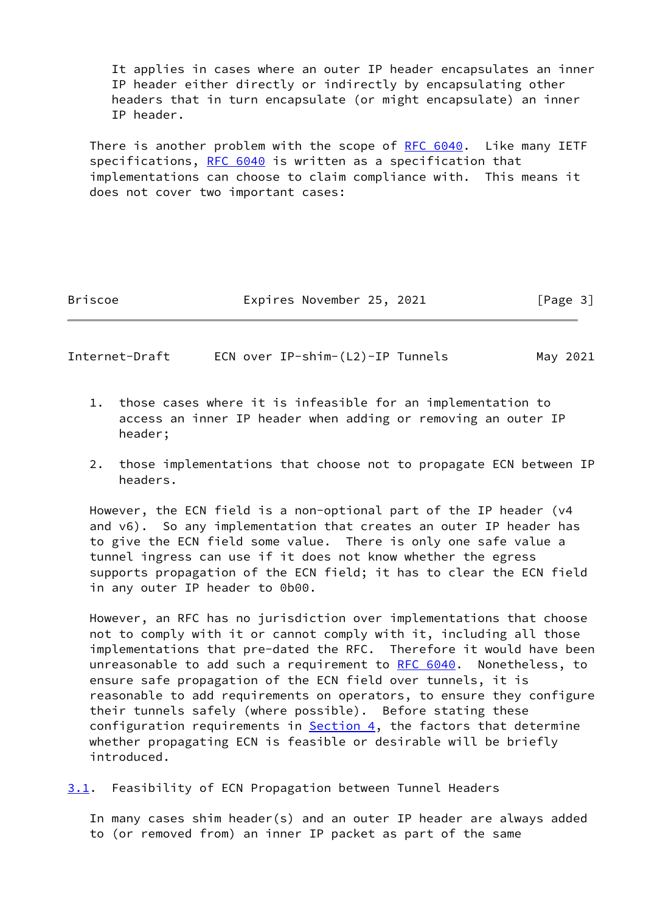It applies in cases where an outer IP header encapsulates an inner IP header either directly or indirectly by encapsulating other headers that in turn encapsulate (or might encapsulate) an inner IP header.

 There is another problem with the scope of [RFC 6040.](https://datatracker.ietf.org/doc/pdf/rfc6040) Like many IETF specifications, [RFC 6040](https://datatracker.ietf.org/doc/pdf/rfc6040) is written as a specification that implementations can choose to claim compliance with. This means it does not cover two important cases:

Briscoe **Expires November 25, 2021** [Page 3]

<span id="page-3-1"></span>Internet-Draft ECN over IP-shim-(L2)-IP Tunnels May 2021

- 1. those cases where it is infeasible for an implementation to access an inner IP header when adding or removing an outer IP header;
- 2. those implementations that choose not to propagate ECN between IP headers.

 However, the ECN field is a non-optional part of the IP header (v4 and v6). So any implementation that creates an outer IP header has to give the ECN field some value. There is only one safe value a tunnel ingress can use if it does not know whether the egress supports propagation of the ECN field; it has to clear the ECN field in any outer IP header to 0b00.

 However, an RFC has no jurisdiction over implementations that choose not to comply with it or cannot comply with it, including all those implementations that pre-dated the RFC. Therefore it would have been unreasonable to add such a requirement to [RFC 6040](https://datatracker.ietf.org/doc/pdf/rfc6040). Nonetheless, to ensure safe propagation of the ECN field over tunnels, it is reasonable to add requirements on operators, to ensure they configure their tunnels safely (where possible). Before stating these configuration requirements in [Section 4,](#page-5-0) the factors that determine whether propagating ECN is feasible or desirable will be briefly introduced.

<span id="page-3-0"></span>[3.1](#page-3-0). Feasibility of ECN Propagation between Tunnel Headers

 In many cases shim header(s) and an outer IP header are always added to (or removed from) an inner IP packet as part of the same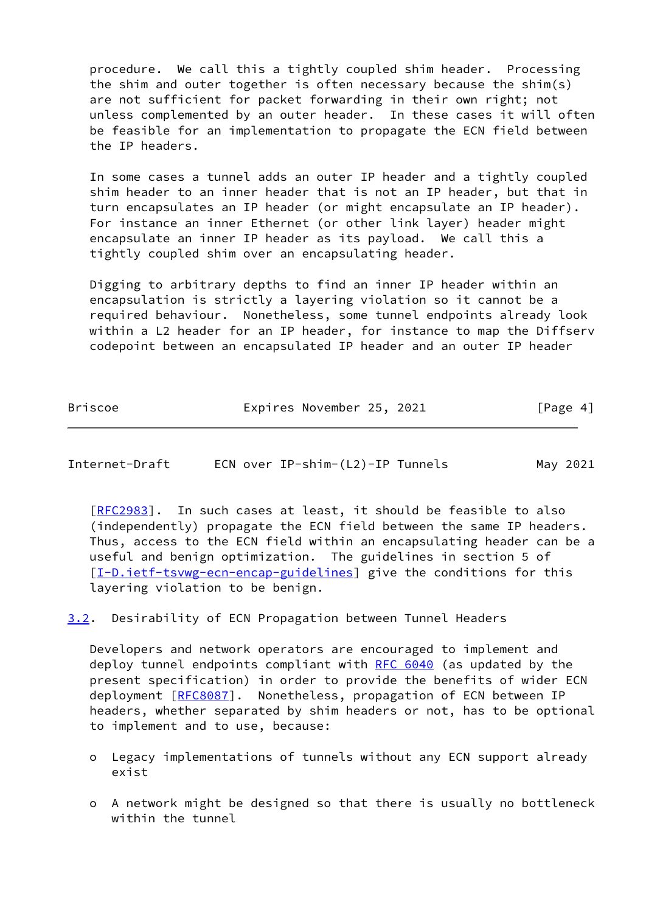procedure. We call this a tightly coupled shim header. Processing the shim and outer together is often necessary because the shim(s) are not sufficient for packet forwarding in their own right; not unless complemented by an outer header. In these cases it will often be feasible for an implementation to propagate the ECN field between the IP headers.

 In some cases a tunnel adds an outer IP header and a tightly coupled shim header to an inner header that is not an IP header, but that in turn encapsulates an IP header (or might encapsulate an IP header). For instance an inner Ethernet (or other link layer) header might encapsulate an inner IP header as its payload. We call this a tightly coupled shim over an encapsulating header.

 Digging to arbitrary depths to find an inner IP header within an encapsulation is strictly a layering violation so it cannot be a required behaviour. Nonetheless, some tunnel endpoints already look within a L2 header for an IP header, for instance to map the Diffserv codepoint between an encapsulated IP header and an outer IP header

| <b>Briscoe</b> | Expires November 25, 2021 | [Page 4] |
|----------------|---------------------------|----------|
|                |                           |          |

<span id="page-4-0"></span>

| Internet-Draft | ECN over IP-shim-(L2)-IP Tunnels | May 2021 |
|----------------|----------------------------------|----------|
|                |                                  |          |

[\[RFC2983](https://datatracker.ietf.org/doc/pdf/rfc2983)]. In such cases at least, it should be feasible to also (independently) propagate the ECN field between the same IP headers. Thus, access to the ECN field within an encapsulating header can be a useful and benign optimization. The guidelines in section 5 of [\[I-D.ietf-tsvwg-ecn-encap-guidelines](#page-19-3)] give the conditions for this layering violation to be benign.

<span id="page-4-1"></span>[3.2](#page-4-1). Desirability of ECN Propagation between Tunnel Headers

 Developers and network operators are encouraged to implement and deploy tunnel endpoints compliant with [RFC 6040](https://datatracker.ietf.org/doc/pdf/rfc6040) (as updated by the present specification) in order to provide the benefits of wider ECN deployment [[RFC8087\]](https://datatracker.ietf.org/doc/pdf/rfc8087). Nonetheless, propagation of ECN between IP headers, whether separated by shim headers or not, has to be optional to implement and to use, because:

- o Legacy implementations of tunnels without any ECN support already exist
- o A network might be designed so that there is usually no bottleneck within the tunnel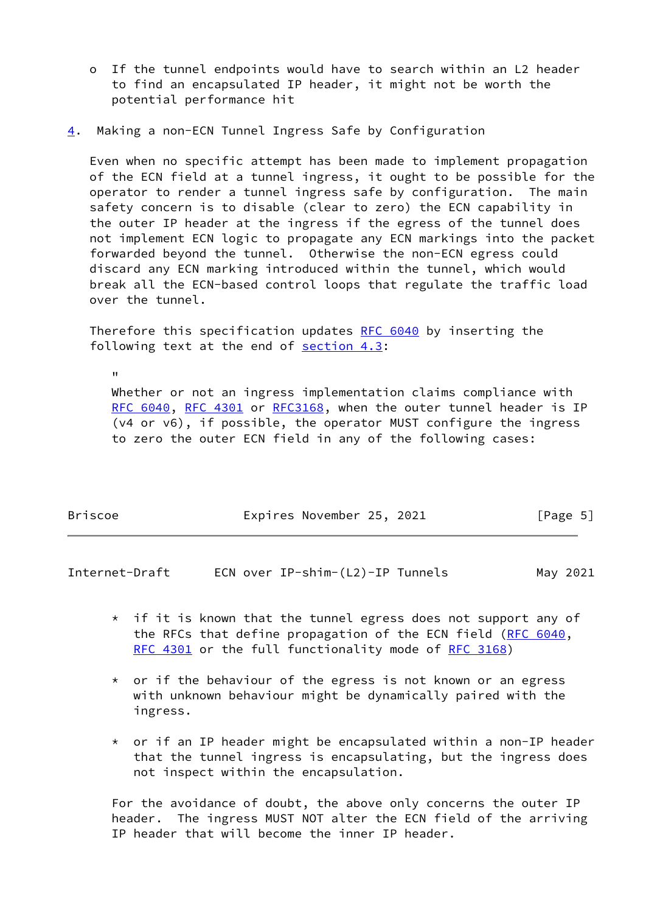- o If the tunnel endpoints would have to search within an L2 header to find an encapsulated IP header, it might not be worth the potential performance hit
- <span id="page-5-0"></span>[4](#page-5-0). Making a non-ECN Tunnel Ingress Safe by Configuration

"

 Even when no specific attempt has been made to implement propagation of the ECN field at a tunnel ingress, it ought to be possible for the operator to render a tunnel ingress safe by configuration. The main safety concern is to disable (clear to zero) the ECN capability in the outer IP header at the ingress if the egress of the tunnel does not implement ECN logic to propagate any ECN markings into the packet forwarded beyond the tunnel. Otherwise the non-ECN egress could discard any ECN marking introduced within the tunnel, which would break all the ECN-based control loops that regulate the traffic load over the tunnel.

 Therefore this specification updates [RFC 6040](https://datatracker.ietf.org/doc/pdf/rfc6040) by inserting the following text at the end of section 4.3:

 Whether or not an ingress implementation claims compliance with [RFC 6040,](https://datatracker.ietf.org/doc/pdf/rfc6040) [RFC 4301](https://datatracker.ietf.org/doc/pdf/rfc4301) or [RFC3168](https://datatracker.ietf.org/doc/pdf/rfc3168), when the outer tunnel header is IP (v4 or v6), if possible, the operator MUST configure the ingress to zero the outer ECN field in any of the following cases:

| Briscoe | Expires November 25, 2021 |  | [Page 5] |  |
|---------|---------------------------|--|----------|--|
|         |                           |  |          |  |

Internet-Draft ECN over IP-shim-(L2)-IP Tunnels May 2021

- $*$  if it is known that the tunnel egress does not support any of the RFCs that define propagation of the ECN field [\(RFC 6040](https://datatracker.ietf.org/doc/pdf/rfc6040), [RFC 4301](https://datatracker.ietf.org/doc/pdf/rfc4301) or the full functionality mode of [RFC 3168](https://datatracker.ietf.org/doc/pdf/rfc3168))
- \* or if the behaviour of the egress is not known or an egress with unknown behaviour might be dynamically paired with the ingress.
- \* or if an IP header might be encapsulated within a non-IP header that the tunnel ingress is encapsulating, but the ingress does not inspect within the encapsulation.

 For the avoidance of doubt, the above only concerns the outer IP header. The ingress MUST NOT alter the ECN field of the arriving IP header that will become the inner IP header.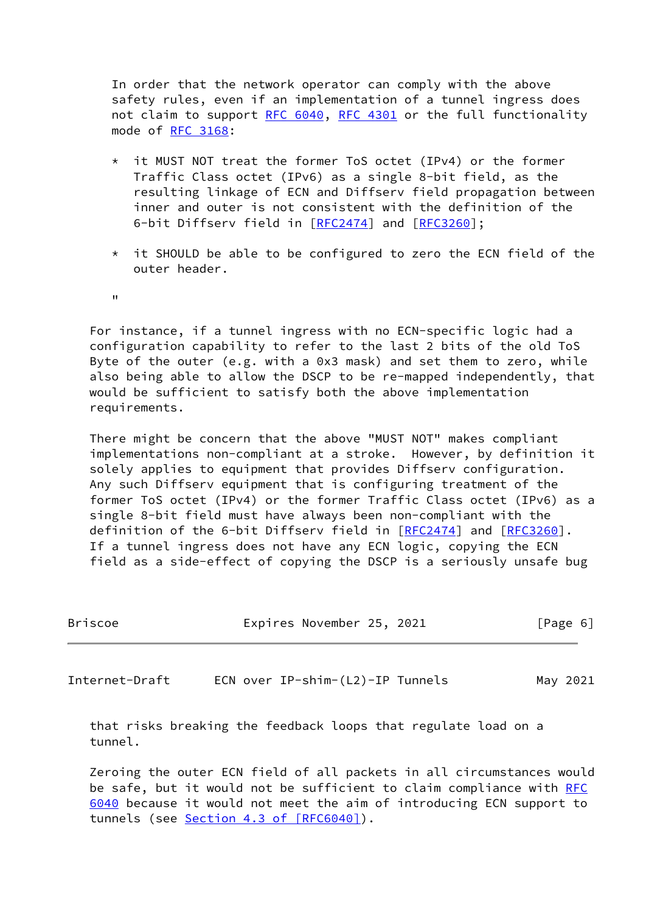In order that the network operator can comply with the above safety rules, even if an implementation of a tunnel ingress does not claim to support [RFC 6040](https://datatracker.ietf.org/doc/pdf/rfc6040), [RFC 4301](https://datatracker.ietf.org/doc/pdf/rfc4301) or the full functionality mode of [RFC 3168:](https://datatracker.ietf.org/doc/pdf/rfc3168)

- it MUST NOT treat the former ToS octet (IPv4) or the former Traffic Class octet (IPv6) as a single 8-bit field, as the resulting linkage of ECN and Diffserv field propagation between inner and outer is not consistent with the definition of the 6-bit Diffserv field in [[RFC2474](https://datatracker.ietf.org/doc/pdf/rfc2474)] and [\[RFC3260](https://datatracker.ietf.org/doc/pdf/rfc3260)];
- \* it SHOULD be able to be configured to zero the ECN field of the outer header.

"

 For instance, if a tunnel ingress with no ECN-specific logic had a configuration capability to refer to the last 2 bits of the old ToS Byte of the outer (e.g. with a 0x3 mask) and set them to zero, while also being able to allow the DSCP to be re-mapped independently, that would be sufficient to satisfy both the above implementation requirements.

 There might be concern that the above "MUST NOT" makes compliant implementations non-compliant at a stroke. However, by definition it solely applies to equipment that provides Diffserv configuration. Any such Diffserv equipment that is configuring treatment of the former ToS octet (IPv4) or the former Traffic Class octet (IPv6) as a single 8-bit field must have always been non-compliant with the definition of the 6-bit Diffserv field in [[RFC2474](https://datatracker.ietf.org/doc/pdf/rfc2474)] and [\[RFC3260](https://datatracker.ietf.org/doc/pdf/rfc3260)]. If a tunnel ingress does not have any ECN logic, copying the ECN field as a side-effect of copying the DSCP is a seriously unsafe bug

<span id="page-6-0"></span>

| Briscoe        | Expires November 25, 2021        | [Page 6] |
|----------------|----------------------------------|----------|
|                |                                  |          |
| Internet-Draft | ECN over IP-shim-(L2)-IP Tunnels | May 2021 |

 that risks breaking the feedback loops that regulate load on a tunnel.

 Zeroing the outer ECN field of all packets in all circumstances would be safe, but it would not be sufficient to claim compliance with [RFC](https://datatracker.ietf.org/doc/pdf/rfc6040) [6040](https://datatracker.ietf.org/doc/pdf/rfc6040) because it would not meet the aim of introducing ECN support to tunnels (see Section [4.3 of \[RFC6040\]](https://datatracker.ietf.org/doc/pdf/rfc6040#section-4.3)).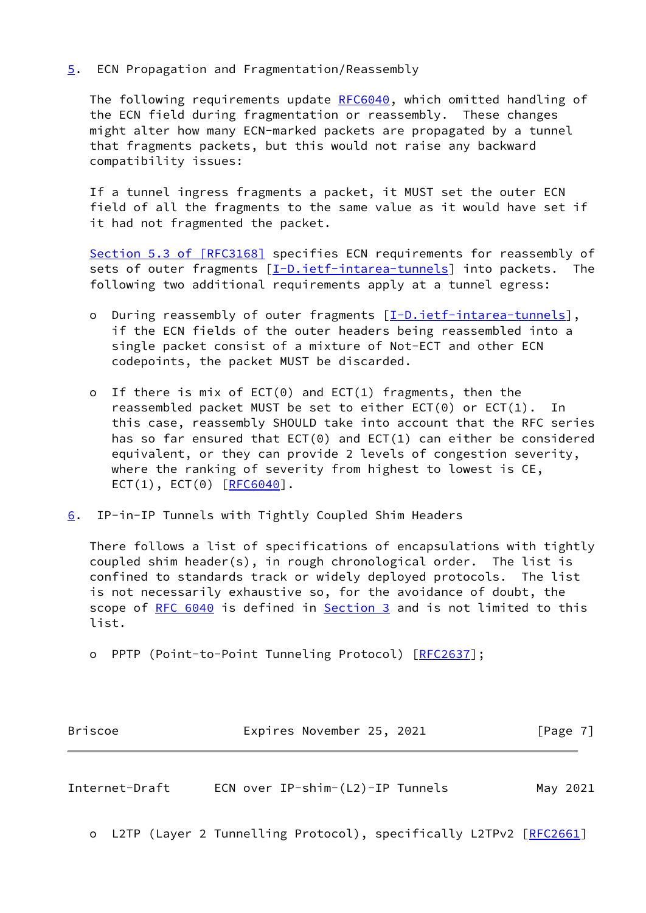## <span id="page-7-0"></span>[5](#page-7-0). ECN Propagation and Fragmentation/Reassembly

 The following requirements update [RFC6040](https://datatracker.ietf.org/doc/pdf/rfc6040), which omitted handling of the ECN field during fragmentation or reassembly. These changes might alter how many ECN-marked packets are propagated by a tunnel that fragments packets, but this would not raise any backward compatibility issues:

 If a tunnel ingress fragments a packet, it MUST set the outer ECN field of all the fragments to the same value as it would have set if it had not fragmented the packet.

Section [5.3 of \[RFC3168\]](https://datatracker.ietf.org/doc/pdf/rfc3168#section-5.3) specifies ECN requirements for reassembly of sets of outer fragments [\[I-D.ietf-intarea-tunnels](#page-21-0)] into packets. The following two additional requirements apply at a tunnel egress:

- o During reassembly of outer fragments [\[I-D.ietf-intarea-tunnels](#page-21-0)], if the ECN fields of the outer headers being reassembled into a single packet consist of a mixture of Not-ECT and other ECN codepoints, the packet MUST be discarded.
- o If there is mix of  $ECT(0)$  and  $ECT(1)$  fragments, then the reassembled packet MUST be set to either ECT(0) or ECT(1). In this case, reassembly SHOULD take into account that the RFC series has so far ensured that ECT(0) and ECT(1) can either be considered equivalent, or they can provide 2 levels of congestion severity, where the ranking of severity from highest to lowest is CE,  $ECT(1), ECT(0) [RFC6040].$  $ECT(1), ECT(0) [RFC6040].$  $ECT(1), ECT(0) [RFC6040].$
- <span id="page-7-1"></span>[6](#page-7-1). IP-in-IP Tunnels with Tightly Coupled Shim Headers

 There follows a list of specifications of encapsulations with tightly coupled shim header(s), in rough chronological order. The list is confined to standards track or widely deployed protocols. The list is not necessarily exhaustive so, for the avoidance of doubt, the scope of [RFC 6040](https://datatracker.ietf.org/doc/pdf/rfc6040) is defined in [Section 3](#page-2-2) and is not limited to this list.

o PPTP (Point-to-Point Tunneling Protocol) [\[RFC2637](https://datatracker.ietf.org/doc/pdf/rfc2637)];

| <b>Briscoe</b> | Expires November 25, 2021 | [Page 7] |
|----------------|---------------------------|----------|
|                |                           |          |

| ECN over IP-shim-(L2)-IP Tunnels<br>Internet-Draft | May 2021 |
|----------------------------------------------------|----------|
|----------------------------------------------------|----------|

o L2TP (Layer 2 Tunnelling Protocol), specifically L2TPv2 [[RFC2661\]](https://datatracker.ietf.org/doc/pdf/rfc2661)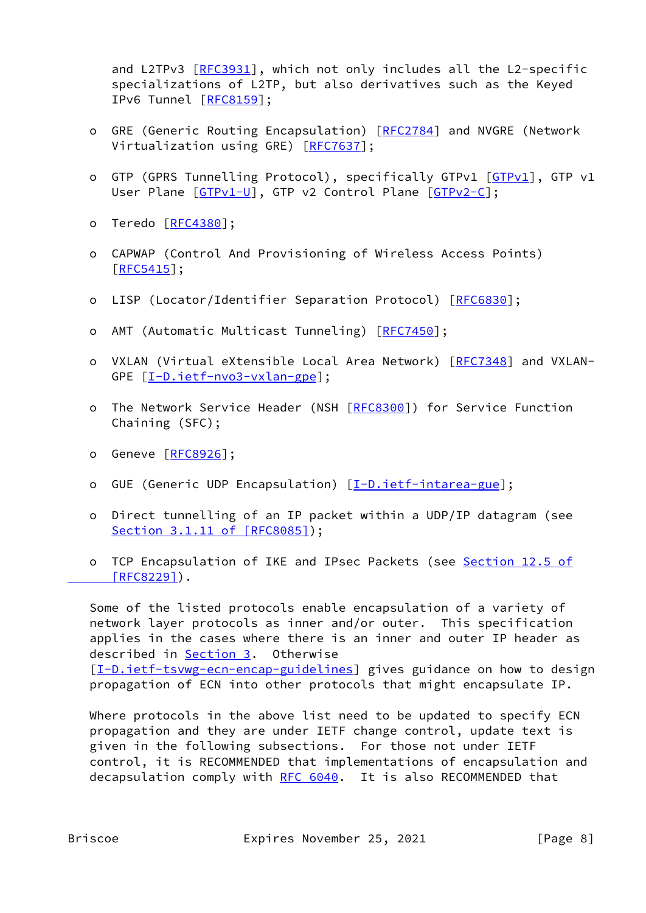and L2TPv3 [[RFC3931](https://datatracker.ietf.org/doc/pdf/rfc3931)], which not only includes all the L2-specific specializations of L2TP, but also derivatives such as the Keyed IPv6 Tunnel [\[RFC8159](https://datatracker.ietf.org/doc/pdf/rfc8159)];

- o GRE (Generic Routing Encapsulation) [\[RFC2784](https://datatracker.ietf.org/doc/pdf/rfc2784)] and NVGRE (Network Virtualization using GRE) [\[RFC7637](https://datatracker.ietf.org/doc/pdf/rfc7637)];
- o GTP (GPRS Tunnelling Protocol), specifically GTPv1 [[GTPv1\]](#page-20-2), GTP v1 User Plane [[GTPv1-U](#page-20-3)], GTP v2 Control Plane [[GTPv2-C](#page-20-4)];
- o Teredo [[RFC4380](https://datatracker.ietf.org/doc/pdf/rfc4380)];
- o CAPWAP (Control And Provisioning of Wireless Access Points) [[RFC5415\]](https://datatracker.ietf.org/doc/pdf/rfc5415);
- o LISP (Locator/Identifier Separation Protocol) [\[RFC6830](https://datatracker.ietf.org/doc/pdf/rfc6830)];
- o AMT (Automatic Multicast Tunneling) [\[RFC7450](https://datatracker.ietf.org/doc/pdf/rfc7450)];
- o VXLAN (Virtual eXtensible Local Area Network) [\[RFC7348](https://datatracker.ietf.org/doc/pdf/rfc7348)] and VXLAN- GPE [\[I-D.ietf-nvo3-vxlan-gpe](#page-21-1)];
- o The Network Service Header (NSH [[RFC8300\]](https://datatracker.ietf.org/doc/pdf/rfc8300)) for Service Function Chaining (SFC);
- o Geneve [[RFC8926](https://datatracker.ietf.org/doc/pdf/rfc8926)];
- o GUE (Generic UDP Encapsulation) [[I-D.ietf-intarea-gue\]](#page-21-2);
- o Direct tunnelling of an IP packet within a UDP/IP datagram (see Section [3.1.11 of \[RFC8085\]](https://datatracker.ietf.org/doc/pdf/rfc8085#section-3.1.11));
- o TCP Encapsulation of IKE and IPsec Packets (see Section [12.5 of](https://datatracker.ietf.org/doc/pdf/rfc8229#section-12.5)  $[RFC8229]$ .

 Some of the listed protocols enable encapsulation of a variety of network layer protocols as inner and/or outer. This specification applies in the cases where there is an inner and outer IP header as described in [Section 3](#page-2-2). Otherwise [\[I-D.ietf-tsvwg-ecn-encap-guidelines](#page-19-3)] gives guidance on how to design propagation of ECN into other protocols that might encapsulate IP.

 Where protocols in the above list need to be updated to specify ECN propagation and they are under IETF change control, update text is given in the following subsections. For those not under IETF control, it is RECOMMENDED that implementations of encapsulation and decapsulation comply with [RFC 6040](https://datatracker.ietf.org/doc/pdf/rfc6040). It is also RECOMMENDED that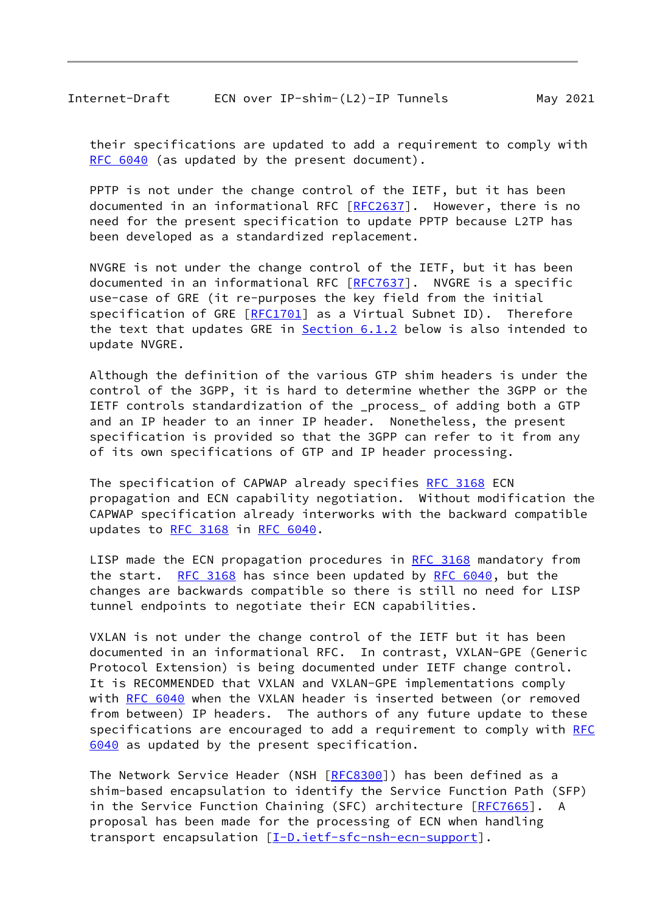their specifications are updated to add a requirement to comply with [RFC 6040](https://datatracker.ietf.org/doc/pdf/rfc6040) (as updated by the present document).

 PPTP is not under the change control of the IETF, but it has been documented in an informational RFC [[RFC2637\]](https://datatracker.ietf.org/doc/pdf/rfc2637). However, there is no need for the present specification to update PPTP because L2TP has been developed as a standardized replacement.

 NVGRE is not under the change control of the IETF, but it has been documented in an informational RFC [[RFC7637\]](https://datatracker.ietf.org/doc/pdf/rfc7637). NVGRE is a specific use-case of GRE (it re-purposes the key field from the initial specification of GRE [\[RFC1701](https://datatracker.ietf.org/doc/pdf/rfc1701)] as a Virtual Subnet ID). Therefore the text that updates GRE in **Section 6.1.2** below is also intended to update NVGRE.

 Although the definition of the various GTP shim headers is under the control of the 3GPP, it is hard to determine whether the 3GPP or the IETF controls standardization of the \_process\_ of adding both a GTP and an IP header to an inner IP header. Nonetheless, the present specification is provided so that the 3GPP can refer to it from any of its own specifications of GTP and IP header processing.

The specification of CAPWAP already specifies [RFC 3168](https://datatracker.ietf.org/doc/pdf/rfc3168) ECN propagation and ECN capability negotiation. Without modification the CAPWAP specification already interworks with the backward compatible updates to [RFC 3168](https://datatracker.ietf.org/doc/pdf/rfc3168) in [RFC 6040.](https://datatracker.ietf.org/doc/pdf/rfc6040)

LISP made the ECN propagation procedures in [RFC 3168](https://datatracker.ietf.org/doc/pdf/rfc3168) mandatory from the start. [RFC 3168](https://datatracker.ietf.org/doc/pdf/rfc3168) has since been updated by [RFC 6040,](https://datatracker.ietf.org/doc/pdf/rfc6040) but the changes are backwards compatible so there is still no need for LISP tunnel endpoints to negotiate their ECN capabilities.

 VXLAN is not under the change control of the IETF but it has been documented in an informational RFC. In contrast, VXLAN-GPE (Generic Protocol Extension) is being documented under IETF change control. It is RECOMMENDED that VXLAN and VXLAN-GPE implementations comply with [RFC 6040](https://datatracker.ietf.org/doc/pdf/rfc6040) when the VXLAN header is inserted between (or removed from between) IP headers. The authors of any future update to these specifications are encouraged to add a requirement to comply with [RFC](https://datatracker.ietf.org/doc/pdf/rfc6040) [6040](https://datatracker.ietf.org/doc/pdf/rfc6040) as updated by the present specification.

 The Network Service Header (NSH [\[RFC8300](https://datatracker.ietf.org/doc/pdf/rfc8300)]) has been defined as a shim-based encapsulation to identify the Service Function Path (SFP) in the Service Function Chaining (SFC) architecture [\[RFC7665](https://datatracker.ietf.org/doc/pdf/rfc7665)]. A proposal has been made for the processing of ECN when handling transport encapsulation [\[I-D.ietf-sfc-nsh-ecn-support](#page-21-3)].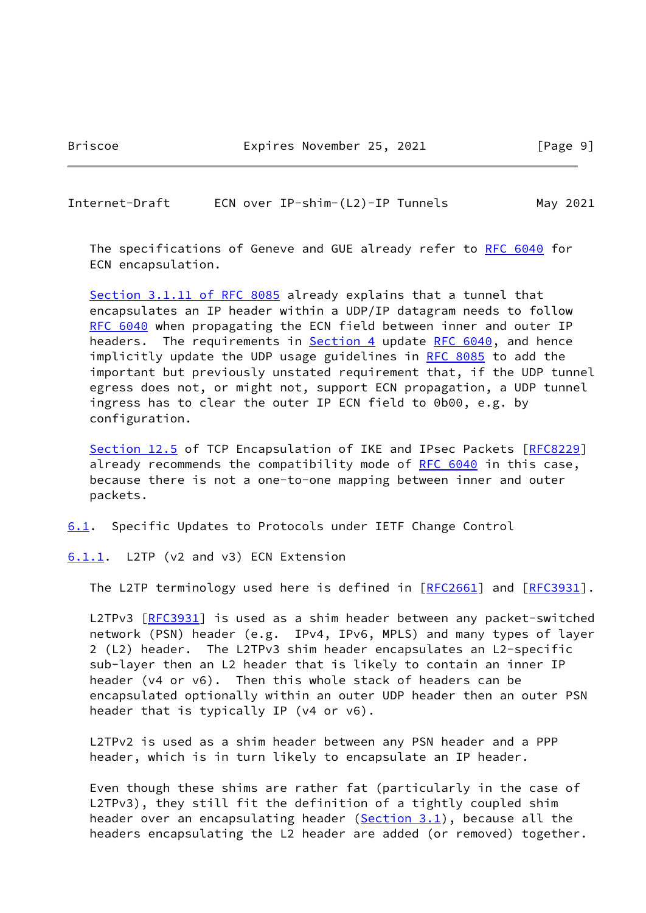### <span id="page-10-1"></span>Internet-Draft ECN over IP-shim-(L2)-IP Tunnels May 2021

 The specifications of Geneve and GUE already refer to [RFC 6040](https://datatracker.ietf.org/doc/pdf/rfc6040) for ECN encapsulation.

 Section [3.1.11 of RFC 8085](https://datatracker.ietf.org/doc/pdf/rfc8085#section-3.1.11) already explains that a tunnel that encapsulates an IP header within a UDP/IP datagram needs to follow [RFC 6040](https://datatracker.ietf.org/doc/pdf/rfc6040) when propagating the ECN field between inner and outer IP headers. The requirements in **Section 4** update [RFC 6040,](https://datatracker.ietf.org/doc/pdf/rfc6040) and hence implicitly update the UDP usage guidelines in [RFC 8085](https://datatracker.ietf.org/doc/pdf/rfc8085) to add the important but previously unstated requirement that, if the UDP tunnel egress does not, or might not, support ECN propagation, a UDP tunnel ingress has to clear the outer IP ECN field to 0b00, e.g. by configuration.

Section 12.5 of TCP Encapsulation of IKE and IPsec Packets [[RFC8229\]](https://datatracker.ietf.org/doc/pdf/rfc8229) already recommends the compatibility mode of [RFC 6040](https://datatracker.ietf.org/doc/pdf/rfc6040) in this case, because there is not a one-to-one mapping between inner and outer packets.

<span id="page-10-2"></span>[6.1](#page-10-2). Specific Updates to Protocols under IETF Change Control

<span id="page-10-0"></span>[6.1.1](#page-10-0). L2TP (v2 and v3) ECN Extension

The L2TP terminology used here is defined in [\[RFC2661](https://datatracker.ietf.org/doc/pdf/rfc2661)] and [[RFC3931\]](https://datatracker.ietf.org/doc/pdf/rfc3931).

L2TPv3 [\[RFC3931](https://datatracker.ietf.org/doc/pdf/rfc3931)] is used as a shim header between any packet-switched network (PSN) header (e.g. IPv4, IPv6, MPLS) and many types of layer 2 (L2) header. The L2TPv3 shim header encapsulates an L2-specific sub-layer then an L2 header that is likely to contain an inner IP header (v4 or v6). Then this whole stack of headers can be encapsulated optionally within an outer UDP header then an outer PSN header that is typically IP (v4 or v6).

 L2TPv2 is used as a shim header between any PSN header and a PPP header, which is in turn likely to encapsulate an IP header.

 Even though these shims are rather fat (particularly in the case of L2TPv3), they still fit the definition of a tightly coupled shim header over an encapsulating header [\(Section 3.1](#page-3-0)), because all the headers encapsulating the L2 header are added (or removed) together.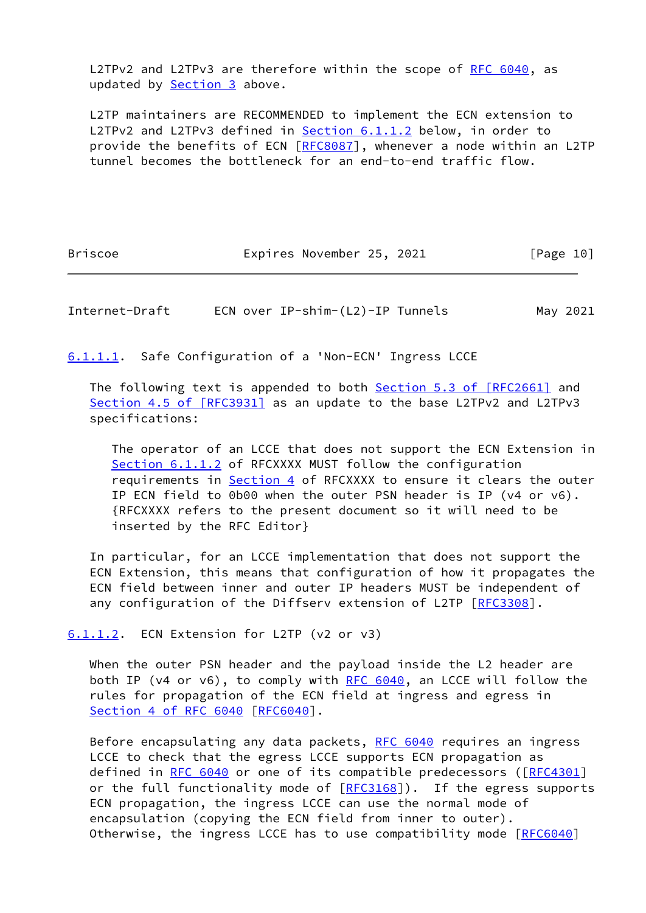L2TPv2 and L2TPv3 are therefore within the scope of [RFC 6040,](https://datatracker.ietf.org/doc/pdf/rfc6040) as updated by **Section 3** above.

 L2TP maintainers are RECOMMENDED to implement the ECN extension to L2TPv2 and L2TPv3 defined in **Section 6.1.1.2** below, in order to provide the benefits of ECN [\[RFC8087](https://datatracker.ietf.org/doc/pdf/rfc8087)], whenever a node within an L2TP tunnel becomes the bottleneck for an end-to-end traffic flow.

Briscoe **Expires November 25, 2021** [Page 10]

Internet-Draft ECN over IP-shim-(L2)-IP Tunnels May 2021

<span id="page-11-1"></span>[6.1.1.1](#page-11-1). Safe Configuration of a 'Non-ECN' Ingress LCCE

The following text is appended to both Section [5.3 of \[RFC2661\]](https://datatracker.ietf.org/doc/pdf/rfc2661#section-5.3) and Section [4.5 of \[RFC3931\]](https://datatracker.ietf.org/doc/pdf/rfc3931#section-4.5) as an update to the base L2TPv2 and L2TPv3 specifications:

 The operator of an LCCE that does not support the ECN Extension in [Section 6.1.1.2](#page-11-0) of RFCXXXX MUST follow the configuration requirements in **Section 4** of RFCXXXX to ensure it clears the outer IP ECN field to 0b00 when the outer PSN header is IP (v4 or v6). {RFCXXXX refers to the present document so it will need to be inserted by the RFC Editor}

 In particular, for an LCCE implementation that does not support the ECN Extension, this means that configuration of how it propagates the ECN field between inner and outer IP headers MUST be independent of any configuration of the Diffserv extension of L2TP [\[RFC3308](https://datatracker.ietf.org/doc/pdf/rfc3308)].

<span id="page-11-0"></span>[6.1.1.2](#page-11-0). ECN Extension for L2TP (v2 or v3)

 When the outer PSN header and the payload inside the L2 header are both IP (v4 or v6), to comply with  $RFC 6040$ , an LCCE will follow the rules for propagation of the ECN field at ingress and egress in Section [4 of RFC 6040](https://datatracker.ietf.org/doc/pdf/rfc6040#section-4) [[RFC6040](https://datatracker.ietf.org/doc/pdf/rfc6040)].

 Before encapsulating any data packets, [RFC 6040](https://datatracker.ietf.org/doc/pdf/rfc6040) requires an ingress LCCE to check that the egress LCCE supports ECN propagation as defined in [RFC 6040](https://datatracker.ietf.org/doc/pdf/rfc6040) or one of its compatible predecessors ( $[REC4301]$ or the full functionality mode of  $[REC3168]$ ). If the egress supports ECN propagation, the ingress LCCE can use the normal mode of encapsulation (copying the ECN field from inner to outer). Otherwise, the ingress LCCE has to use compatibility mode [[RFC6040](https://datatracker.ietf.org/doc/pdf/rfc6040)]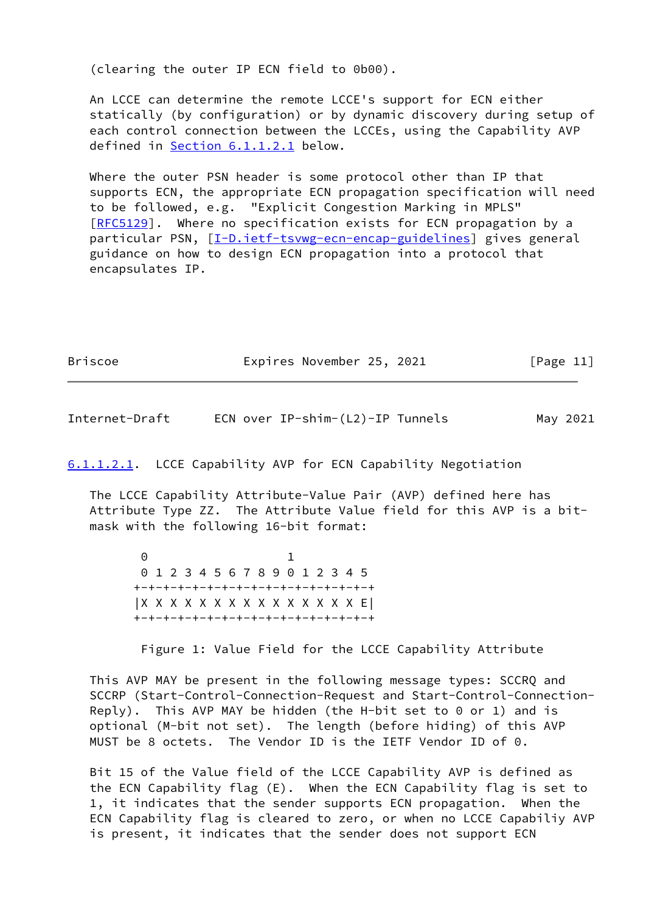(clearing the outer IP ECN field to 0b00).

 An LCCE can determine the remote LCCE's support for ECN either statically (by configuration) or by dynamic discovery during setup of each control connection between the LCCEs, using the Capability AVP defined in [Section 6.1.1.2.1](#page-12-0) below.

 Where the outer PSN header is some protocol other than IP that supports ECN, the appropriate ECN propagation specification will need to be followed, e.g. "Explicit Congestion Marking in MPLS" [\[RFC5129](https://datatracker.ietf.org/doc/pdf/rfc5129)]. Where no specification exists for ECN propagation by a particular PSN, [\[I-D.ietf-tsvwg-ecn-encap-guidelines](#page-19-3)] gives general guidance on how to design ECN propagation into a protocol that encapsulates IP.

|  | <b>Briscoe</b> | Expires November 25, 2021 | [Page 11] |
|--|----------------|---------------------------|-----------|
|--|----------------|---------------------------|-----------|

Internet-Draft ECN over IP-shim-(L2)-IP Tunnels May 2021

<span id="page-12-0"></span>[6.1.1.2.1](#page-12-0). LCCE Capability AVP for ECN Capability Negotiation

 The LCCE Capability Attribute-Value Pair (AVP) defined here has Attribute Type ZZ. The Attribute Value field for this AVP is a bit mask with the following 16-bit format:

 0 1 0 1 2 3 4 5 6 7 8 9 0 1 2 3 4 5 +-+-+-+-+-+-+-+-+-+-+-+-+-+-+-+-+ |X X X X X X X X X X X X X X X E| +-+-+-+-+-+-+-+-+-+-+-+-+-+-+-+-+

Figure 1: Value Field for the LCCE Capability Attribute

 This AVP MAY be present in the following message types: SCCRQ and SCCRP (Start-Control-Connection-Request and Start-Control-Connection- Reply). This AVP MAY be hidden (the H-bit set to  $0$  or 1) and is optional (M-bit not set). The length (before hiding) of this AVP MUST be 8 octets. The Vendor ID is the IETF Vendor ID of 0.

 Bit 15 of the Value field of the LCCE Capability AVP is defined as the ECN Capability flag (E). When the ECN Capability flag is set to 1, it indicates that the sender supports ECN propagation. When the ECN Capability flag is cleared to zero, or when no LCCE Capabiliy AVP is present, it indicates that the sender does not support ECN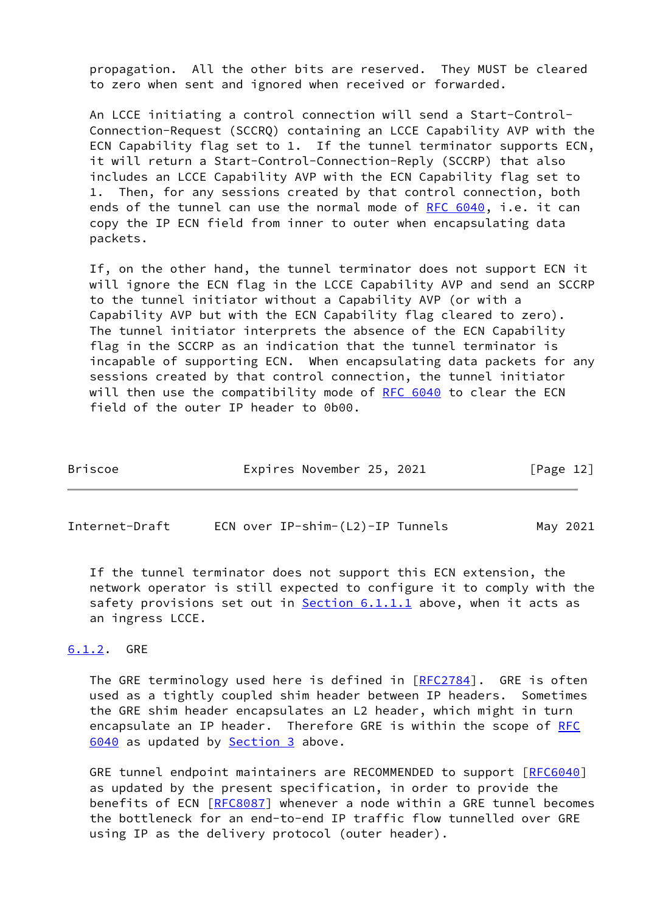propagation. All the other bits are reserved. They MUST be cleared to zero when sent and ignored when received or forwarded.

 An LCCE initiating a control connection will send a Start-Control- Connection-Request (SCCRQ) containing an LCCE Capability AVP with the ECN Capability flag set to 1. If the tunnel terminator supports ECN, it will return a Start-Control-Connection-Reply (SCCRP) that also includes an LCCE Capability AVP with the ECN Capability flag set to 1. Then, for any sessions created by that control connection, both ends of the tunnel can use the normal mode of [RFC 6040](https://datatracker.ietf.org/doc/pdf/rfc6040), i.e. it can copy the IP ECN field from inner to outer when encapsulating data packets.

 If, on the other hand, the tunnel terminator does not support ECN it will ignore the ECN flag in the LCCE Capability AVP and send an SCCRP to the tunnel initiator without a Capability AVP (or with a Capability AVP but with the ECN Capability flag cleared to zero). The tunnel initiator interprets the absence of the ECN Capability flag in the SCCRP as an indication that the tunnel terminator is incapable of supporting ECN. When encapsulating data packets for any sessions created by that control connection, the tunnel initiator will then use the compatibility mode of [RFC 6040](https://datatracker.ietf.org/doc/pdf/rfc6040) to clear the ECN field of the outer IP header to 0b00.

| Expires November 25, 2021<br>Briscoe<br>[Page 12] |  |  |
|---------------------------------------------------|--|--|
|---------------------------------------------------|--|--|

<span id="page-13-1"></span>Internet-Draft ECN over IP-shim-(L2)-IP Tunnels May 2021

 If the tunnel terminator does not support this ECN extension, the network operator is still expected to configure it to comply with the safety provisions set out in  $Section 6.1.1.1$  above, when it acts as an ingress LCCE.

## <span id="page-13-0"></span>[6.1.2](#page-13-0). GRE

The GRE terminology used here is defined in [\[RFC2784](https://datatracker.ietf.org/doc/pdf/rfc2784)]. GRE is often used as a tightly coupled shim header between IP headers. Sometimes the GRE shim header encapsulates an L2 header, which might in turn encapsulate an IP header. Therefore GRE is within the scope of [RFC](https://datatracker.ietf.org/doc/pdf/rfc6040) [6040](https://datatracker.ietf.org/doc/pdf/rfc6040) as updated by **Section 3** above.

 GRE tunnel endpoint maintainers are RECOMMENDED to support [[RFC6040\]](https://datatracker.ietf.org/doc/pdf/rfc6040) as updated by the present specification, in order to provide the benefits of ECN [\[RFC8087](https://datatracker.ietf.org/doc/pdf/rfc8087)] whenever a node within a GRE tunnel becomes the bottleneck for an end-to-end IP traffic flow tunnelled over GRE using IP as the delivery protocol (outer header).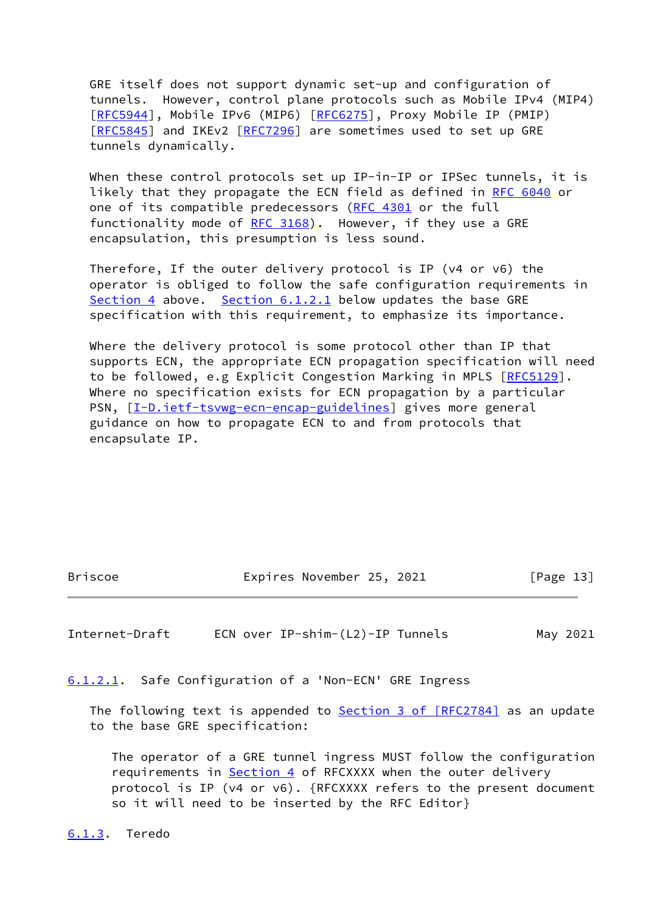GRE itself does not support dynamic set-up and configuration of tunnels. However, control plane protocols such as Mobile IPv4 (MIP4) [\[RFC5944](https://datatracker.ietf.org/doc/pdf/rfc5944)], Mobile IPv6 (MIP6) [[RFC6275](https://datatracker.ietf.org/doc/pdf/rfc6275)], Proxy Mobile IP (PMIP) [\[RFC5845](https://datatracker.ietf.org/doc/pdf/rfc5845)] and IKEv2 [\[RFC7296](https://datatracker.ietf.org/doc/pdf/rfc7296)] are sometimes used to set up GRE tunnels dynamically.

When these control protocols set up IP-in-IP or IPSec tunnels, it is likely that they propagate the ECN field as defined in [RFC 6040](https://datatracker.ietf.org/doc/pdf/rfc6040) or one of its compatible predecessors ([RFC 4301](https://datatracker.ietf.org/doc/pdf/rfc4301) or the full functionality mode of  $RFC 3168$ ). However, if they use a GRE encapsulation, this presumption is less sound.

 Therefore, If the outer delivery protocol is IP (v4 or v6) the operator is obliged to follow the safe configuration requirements in [Section 4](#page-5-0) above. [Section 6.1.2.1](#page-14-2) below updates the base GRE specification with this requirement, to emphasize its importance.

 Where the delivery protocol is some protocol other than IP that supports ECN, the appropriate ECN propagation specification will need to be followed, e.g Explicit Congestion Marking in MPLS [\[RFC5129](https://datatracker.ietf.org/doc/pdf/rfc5129)]. Where no specification exists for ECN propagation by a particular PSN, [\[I-D.ietf-tsvwg-ecn-encap-guidelines](#page-19-3)] gives more general guidance on how to propagate ECN to and from protocols that encapsulate IP.

Briscoe **Expires November 25, 2021** [Page 13]

<span id="page-14-1"></span>Internet-Draft ECN over IP-shim-(L2)-IP Tunnels May 2021

<span id="page-14-2"></span>[6.1.2.1](#page-14-2). Safe Configuration of a 'Non-ECN' GRE Ingress

The following text is appended to **Section [3 of \[RFC2784\]](https://datatracker.ietf.org/doc/pdf/rfc2784#section-3)** as an update to the base GRE specification:

 The operator of a GRE tunnel ingress MUST follow the configuration requirements in [Section 4](#page-5-0) of RFCXXXX when the outer delivery protocol is IP (v4 or v6). {RFCXXXX refers to the present document so it will need to be inserted by the RFC Editor}

<span id="page-14-0"></span>[6.1.3](#page-14-0). Teredo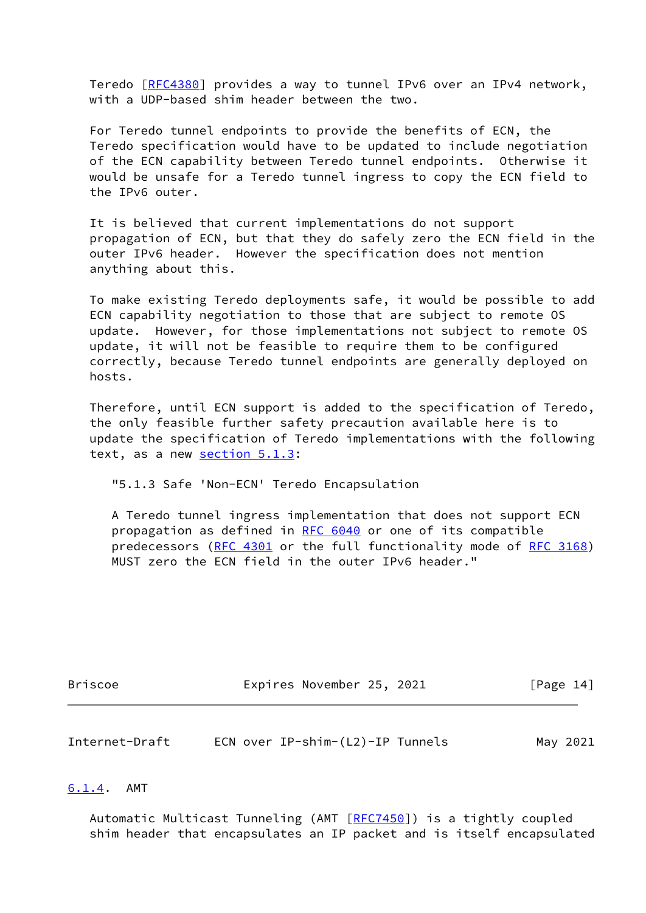Teredo [\[RFC4380](https://datatracker.ietf.org/doc/pdf/rfc4380)] provides a way to tunnel IPv6 over an IPv4 network, with a UDP-based shim header between the two.

 For Teredo tunnel endpoints to provide the benefits of ECN, the Teredo specification would have to be updated to include negotiation of the ECN capability between Teredo tunnel endpoints. Otherwise it would be unsafe for a Teredo tunnel ingress to copy the ECN field to the IPv6 outer.

 It is believed that current implementations do not support propagation of ECN, but that they do safely zero the ECN field in the outer IPv6 header. However the specification does not mention anything about this.

 To make existing Teredo deployments safe, it would be possible to add ECN capability negotiation to those that are subject to remote OS update. However, for those implementations not subject to remote OS update, it will not be feasible to require them to be configured correctly, because Teredo tunnel endpoints are generally deployed on hosts.

 Therefore, until ECN support is added to the specification of Teredo, the only feasible further safety precaution available here is to update the specification of Teredo implementations with the following text, as a new section 5.1.3:

"5.1.3 Safe 'Non-ECN' Teredo Encapsulation

 A Teredo tunnel ingress implementation that does not support ECN propagation as defined in [RFC 6040](https://datatracker.ietf.org/doc/pdf/rfc6040) or one of its compatible predecessors [\(RFC 4301](https://datatracker.ietf.org/doc/pdf/rfc4301) or the full functionality mode of [RFC 3168\)](https://datatracker.ietf.org/doc/pdf/rfc3168) MUST zero the ECN field in the outer IPv6 header."

| <b>Briscoe</b> | Expires November 25, 2021 |  | [Page 14] |  |
|----------------|---------------------------|--|-----------|--|
|                |                           |  |           |  |

<span id="page-15-1"></span>

| Internet-Draft | ECN over IP-shim-(L2)-IP Tunnels | May 2021 |
|----------------|----------------------------------|----------|
|----------------|----------------------------------|----------|

#### <span id="page-15-0"></span>[6.1.4](#page-15-0). AMT

 Automatic Multicast Tunneling (AMT [[RFC7450\]](https://datatracker.ietf.org/doc/pdf/rfc7450)) is a tightly coupled shim header that encapsulates an IP packet and is itself encapsulated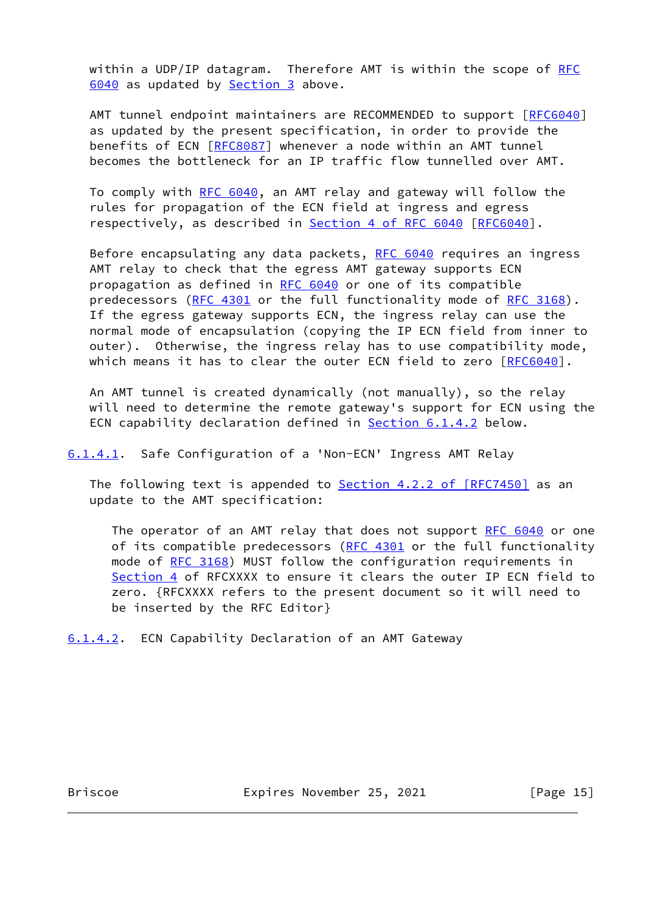within a UDP/IP datagram. Therefore AMT is within the scope of [RFC](https://datatracker.ietf.org/doc/pdf/rfc6040) [6040](https://datatracker.ietf.org/doc/pdf/rfc6040) as updated by **Section 3** above.

AMT tunnel endpoint maintainers are RECOMMENDED to support [[RFC6040\]](https://datatracker.ietf.org/doc/pdf/rfc6040) as updated by the present specification, in order to provide the benefits of ECN [\[RFC8087](https://datatracker.ietf.org/doc/pdf/rfc8087)] whenever a node within an AMT tunnel becomes the bottleneck for an IP traffic flow tunnelled over AMT.

To comply with [RFC 6040,](https://datatracker.ietf.org/doc/pdf/rfc6040) an AMT relay and gateway will follow the rules for propagation of the ECN field at ingress and egress respectively, as described in Section [4 of RFC 6040](https://datatracker.ietf.org/doc/pdf/rfc6040#section-4) [\[RFC6040](https://datatracker.ietf.org/doc/pdf/rfc6040)].

Before encapsulating any data packets, [RFC 6040](https://datatracker.ietf.org/doc/pdf/rfc6040) requires an ingress AMT relay to check that the egress AMT gateway supports ECN propagation as defined in [RFC 6040](https://datatracker.ietf.org/doc/pdf/rfc6040) or one of its compatible predecessors [\(RFC 4301](https://datatracker.ietf.org/doc/pdf/rfc4301) or the full functionality mode of [RFC 3168](https://datatracker.ietf.org/doc/pdf/rfc3168)). If the egress gateway supports ECN, the ingress relay can use the normal mode of encapsulation (copying the IP ECN field from inner to outer). Otherwise, the ingress relay has to use compatibility mode, which means it has to clear the outer ECN field to zero [\[RFC6040](https://datatracker.ietf.org/doc/pdf/rfc6040)].

 An AMT tunnel is created dynamically (not manually), so the relay will need to determine the remote gateway's support for ECN using the ECN capability declaration defined in **Section 6.1.4.2** below.

<span id="page-16-1"></span>[6.1.4.1](#page-16-1). Safe Configuration of a 'Non-ECN' Ingress AMT Relay

The following text is appended to **Section 4.2.2 of [RFC7450]** as an update to the AMT specification:

The operator of an AMT relay that does not support [RFC 6040](https://datatracker.ietf.org/doc/pdf/rfc6040) or one of its compatible predecessors ([RFC 4301](https://datatracker.ietf.org/doc/pdf/rfc4301) or the full functionality mode of [RFC 3168\)](https://datatracker.ietf.org/doc/pdf/rfc3168) MUST follow the configuration requirements in [Section 4](#page-5-0) of RFCXXXX to ensure it clears the outer IP ECN field to zero. {RFCXXXX refers to the present document so it will need to be inserted by the RFC Editor}

<span id="page-16-0"></span>[6.1.4.2](#page-16-0). ECN Capability Declaration of an AMT Gateway

Briscoe **Expires November 25, 2021** [Page 15]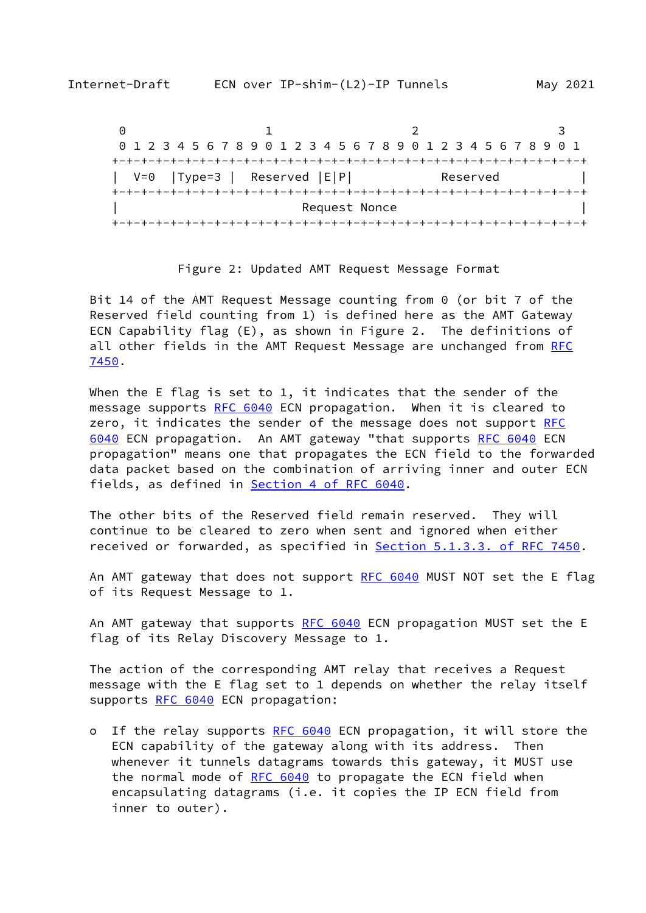| 0 1 2 3 4 5 6 7 8 9 0 1 2 3 4 5 6 7 8 9 0 1 2 3 4 5 6 7 8 9 0 1 |  |  |  |  |  |               |  |  |  |  |  |          |  |  |  |
|-----------------------------------------------------------------|--|--|--|--|--|---------------|--|--|--|--|--|----------|--|--|--|
|                                                                 |  |  |  |  |  |               |  |  |  |  |  |          |  |  |  |
| $V=0$  Type=3   Reserved $ E P $                                |  |  |  |  |  |               |  |  |  |  |  | Reserved |  |  |  |
|                                                                 |  |  |  |  |  |               |  |  |  |  |  |          |  |  |  |
|                                                                 |  |  |  |  |  | Request Nonce |  |  |  |  |  |          |  |  |  |
|                                                                 |  |  |  |  |  |               |  |  |  |  |  |          |  |  |  |

#### Figure 2: Updated AMT Request Message Format

 Bit 14 of the AMT Request Message counting from 0 (or bit 7 of the Reserved field counting from 1) is defined here as the AMT Gateway ECN Capability flag (E), as shown in Figure 2. The definitions of all other fields in the AMT Request Message are unchanged from [RFC](https://datatracker.ietf.org/doc/pdf/rfc7450) [7450](https://datatracker.ietf.org/doc/pdf/rfc7450).

When the E flag is set to 1, it indicates that the sender of the message supports [RFC 6040](https://datatracker.ietf.org/doc/pdf/rfc6040) ECN propagation. When it is cleared to zero, it indicates the sender of the message does not support [RFC](https://datatracker.ietf.org/doc/pdf/rfc6040) [6040](https://datatracker.ietf.org/doc/pdf/rfc6040) ECN propagation. An AMT gateway "that supports [RFC 6040](https://datatracker.ietf.org/doc/pdf/rfc6040) ECN propagation" means one that propagates the ECN field to the forwarded data packet based on the combination of arriving inner and outer ECN fields, as defined in Section [4 of RFC 6040.](https://datatracker.ietf.org/doc/pdf/rfc6040#section-4)

 The other bits of the Reserved field remain reserved. They will continue to be cleared to zero when sent and ignored when either received or forwarded, as specified in Section [5.1.3.3. of RFC 7450.](https://datatracker.ietf.org/doc/pdf/rfc7450#section-5.1.3.3)

An AMT gateway that does not support [RFC 6040](https://datatracker.ietf.org/doc/pdf/rfc6040) MUST NOT set the E flag of its Request Message to 1.

An AMT gateway that supports [RFC 6040](https://datatracker.ietf.org/doc/pdf/rfc6040) ECN propagation MUST set the E flag of its Relay Discovery Message to 1.

 The action of the corresponding AMT relay that receives a Request message with the E flag set to 1 depends on whether the relay itself supports [RFC 6040](https://datatracker.ietf.org/doc/pdf/rfc6040) ECN propagation:

o If the relay supports [RFC 6040](https://datatracker.ietf.org/doc/pdf/rfc6040) ECN propagation, it will store the ECN capability of the gateway along with its address. Then whenever it tunnels datagrams towards this gateway, it MUST use the normal mode of [RFC 6040](https://datatracker.ietf.org/doc/pdf/rfc6040) to propagate the ECN field when encapsulating datagrams (i.e. it copies the IP ECN field from inner to outer).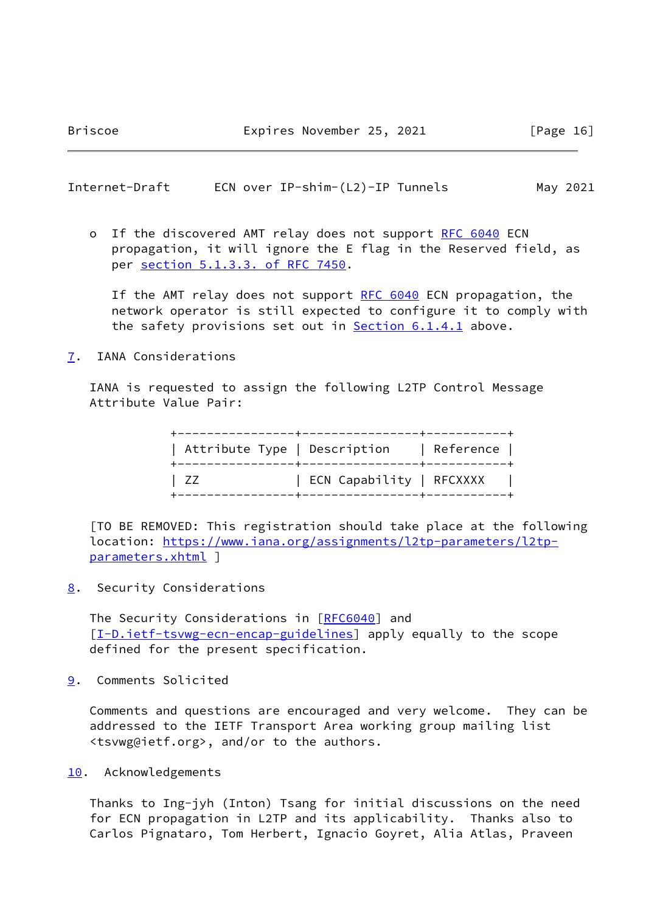<span id="page-18-1"></span>Internet-Draft ECN over IP-shim-(L2)-IP Tunnels May 2021

o If the discovered AMT relay does not support [RFC 6040](https://datatracker.ietf.org/doc/pdf/rfc6040) ECN propagation, it will ignore the E flag in the Reserved field, as per section [5.1.3.3. of RFC 7450.](https://datatracker.ietf.org/doc/pdf/rfc7450#section-5.1.3.3)

If the AMT relay does not support [RFC 6040](https://datatracker.ietf.org/doc/pdf/rfc6040) ECN propagation, the network operator is still expected to configure it to comply with the safety provisions set out in **Section 6.1.4.1** above.

<span id="page-18-0"></span>[7](#page-18-0). IANA Considerations

 IANA is requested to assign the following L2TP Control Message Attribute Value Pair:

|     | Attribute Type   Description   Reference |  |
|-----|------------------------------------------|--|
| 177 | ECN Capability   RFCXXXX                 |  |

 [TO BE REMOVED: This registration should take place at the following location: [https://www.iana.org/assignments/l2tp-parameters/l2tp](https://www.iana.org/assignments/l2tp-parameters/l2tp-parameters.xhtml) [parameters.xhtml](https://www.iana.org/assignments/l2tp-parameters/l2tp-parameters.xhtml) ]

<span id="page-18-2"></span>[8](#page-18-2). Security Considerations

The Security Considerations in [\[RFC6040](https://datatracker.ietf.org/doc/pdf/rfc6040)] and [\[I-D.ietf-tsvwg-ecn-encap-guidelines](#page-19-3)] apply equally to the scope defined for the present specification.

<span id="page-18-3"></span>[9](#page-18-3). Comments Solicited

 Comments and questions are encouraged and very welcome. They can be addressed to the IETF Transport Area working group mailing list <tsvwg@ietf.org>, and/or to the authors.

<span id="page-18-4"></span>[10.](#page-18-4) Acknowledgements

 Thanks to Ing-jyh (Inton) Tsang for initial discussions on the need for ECN propagation in L2TP and its applicability. Thanks also to Carlos Pignataro, Tom Herbert, Ignacio Goyret, Alia Atlas, Praveen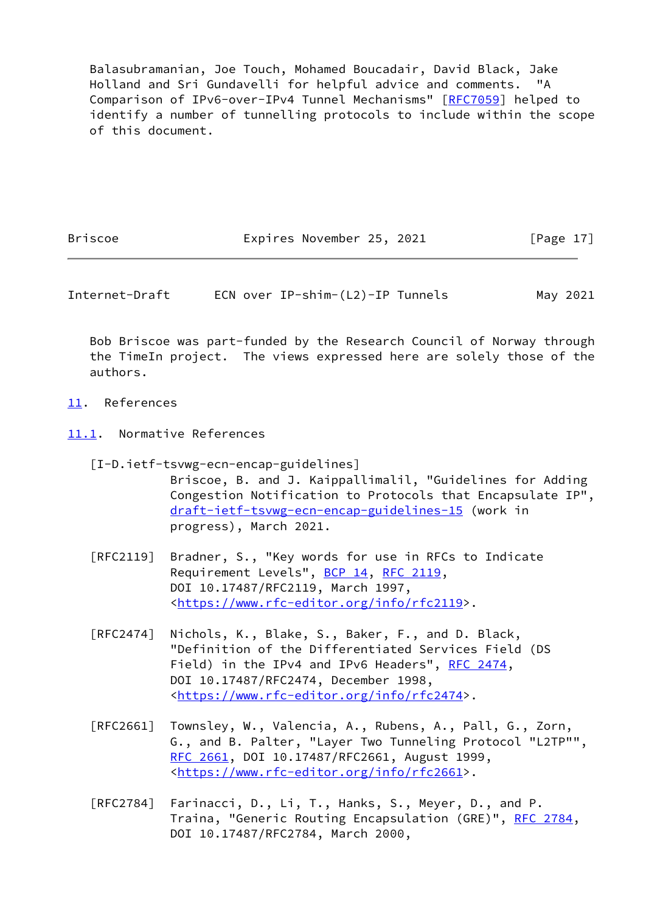Balasubramanian, Joe Touch, Mohamed Boucadair, David Black, Jake Holland and Sri Gundavelli for helpful advice and comments. "A Comparison of IPv6-over-IPv4 Tunnel Mechanisms" [\[RFC7059](https://datatracker.ietf.org/doc/pdf/rfc7059)] helped to identify a number of tunnelling protocols to include within the scope of this document.

Briscoe **Expires November 25, 2021** [Page 17]

<span id="page-19-1"></span>Internet-Draft ECN over IP-shim-(L2)-IP Tunnels May 2021

 Bob Briscoe was part-funded by the Research Council of Norway through the TimeIn project. The views expressed here are solely those of the authors.

- <span id="page-19-0"></span>[11.](#page-19-0) References
- <span id="page-19-2"></span>[11.1](#page-19-2). Normative References

<span id="page-19-3"></span> [I-D.ietf-tsvwg-ecn-encap-guidelines] Briscoe, B. and J. Kaippallimalil, "Guidelines for Adding Congestion Notification to Protocols that Encapsulate IP", [draft-ietf-tsvwg-ecn-encap-guidelines-15](https://datatracker.ietf.org/doc/pdf/draft-ietf-tsvwg-ecn-encap-guidelines-15) (work in progress), March 2021.

- [RFC2119] Bradner, S., "Key words for use in RFCs to Indicate Requirement Levels", [BCP 14](https://datatracker.ietf.org/doc/pdf/bcp14), [RFC 2119](https://datatracker.ietf.org/doc/pdf/rfc2119), DOI 10.17487/RFC2119, March 1997, <[https://www.rfc-editor.org/info/rfc2119>](https://www.rfc-editor.org/info/rfc2119).
- [RFC2474] Nichols, K., Blake, S., Baker, F., and D. Black, "Definition of the Differentiated Services Field (DS Field) in the IPv4 and IPv6 Headers", [RFC 2474](https://datatracker.ietf.org/doc/pdf/rfc2474), DOI 10.17487/RFC2474, December 1998, <[https://www.rfc-editor.org/info/rfc2474>](https://www.rfc-editor.org/info/rfc2474).
- [RFC2661] Townsley, W., Valencia, A., Rubens, A., Pall, G., Zorn, G., and B. Palter, "Layer Two Tunneling Protocol "L2TP"", [RFC 2661,](https://datatracker.ietf.org/doc/pdf/rfc2661) DOI 10.17487/RFC2661, August 1999, <[https://www.rfc-editor.org/info/rfc2661>](https://www.rfc-editor.org/info/rfc2661).
- [RFC2784] Farinacci, D., Li, T., Hanks, S., Meyer, D., and P. Traina, "Generic Routing Encapsulation (GRE)", [RFC 2784](https://datatracker.ietf.org/doc/pdf/rfc2784), DOI 10.17487/RFC2784, March 2000,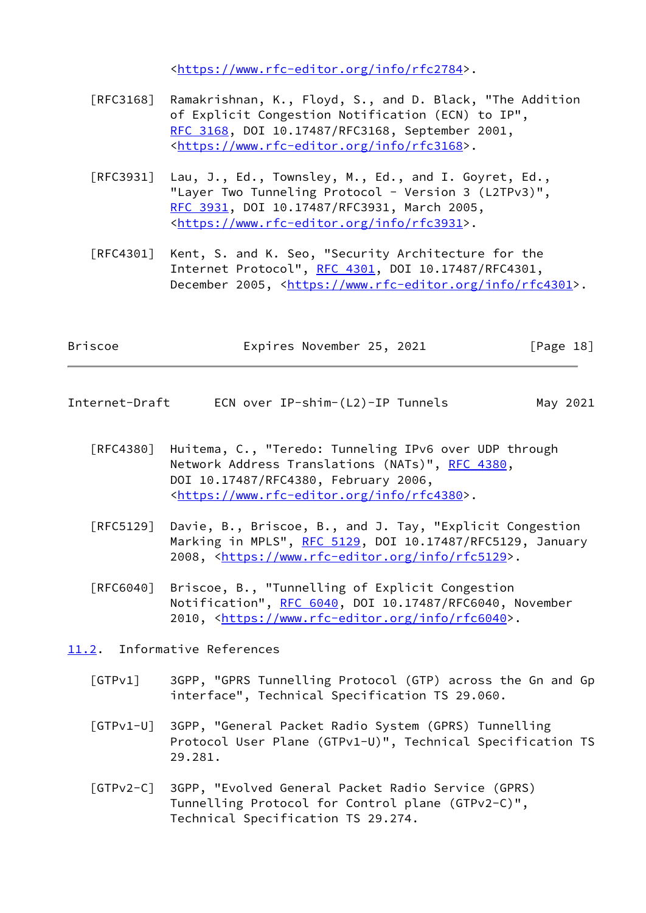<[https://www.rfc-editor.org/info/rfc2784>](https://www.rfc-editor.org/info/rfc2784).

- [RFC3168] Ramakrishnan, K., Floyd, S., and D. Black, "The Addition of Explicit Congestion Notification (ECN) to IP", [RFC 3168,](https://datatracker.ietf.org/doc/pdf/rfc3168) DOI 10.17487/RFC3168, September 2001, <[https://www.rfc-editor.org/info/rfc3168>](https://www.rfc-editor.org/info/rfc3168).
- [RFC3931] Lau, J., Ed., Townsley, M., Ed., and I. Goyret, Ed., "Layer Two Tunneling Protocol - Version 3 (L2TPv3)", [RFC 3931,](https://datatracker.ietf.org/doc/pdf/rfc3931) DOI 10.17487/RFC3931, March 2005, <[https://www.rfc-editor.org/info/rfc3931>](https://www.rfc-editor.org/info/rfc3931).
- [RFC4301] Kent, S. and K. Seo, "Security Architecture for the Internet Protocol", [RFC 4301,](https://datatracker.ietf.org/doc/pdf/rfc4301) DOI 10.17487/RFC4301, December 2005, <<https://www.rfc-editor.org/info/rfc4301>>.

| Briscoe<br>Expires November 25, 2021 | [Page 18] |
|--------------------------------------|-----------|
|--------------------------------------|-----------|

- <span id="page-20-1"></span>Internet-Draft ECN over IP-shim-(L2)-IP Tunnels May 2021
	- [RFC4380] Huitema, C., "Teredo: Tunneling IPv6 over UDP through Network Address Translations (NATs)", [RFC 4380](https://datatracker.ietf.org/doc/pdf/rfc4380), DOI 10.17487/RFC4380, February 2006, <[https://www.rfc-editor.org/info/rfc4380>](https://www.rfc-editor.org/info/rfc4380).
	- [RFC5129] Davie, B., Briscoe, B., and J. Tay, "Explicit Congestion Marking in MPLS", [RFC 5129](https://datatracker.ietf.org/doc/pdf/rfc5129), DOI 10.17487/RFC5129, January 2008, [<https://www.rfc-editor.org/info/rfc5129](https://www.rfc-editor.org/info/rfc5129)>.
	- [RFC6040] Briscoe, B., "Tunnelling of Explicit Congestion Notification", [RFC 6040](https://datatracker.ietf.org/doc/pdf/rfc6040), DOI 10.17487/RFC6040, November 2010, [<https://www.rfc-editor.org/info/rfc6040](https://www.rfc-editor.org/info/rfc6040)>.

<span id="page-20-0"></span>[11.2](#page-20-0). Informative References

- <span id="page-20-2"></span> [GTPv1] 3GPP, "GPRS Tunnelling Protocol (GTP) across the Gn and Gp interface", Technical Specification TS 29.060.
- <span id="page-20-3"></span> [GTPv1-U] 3GPP, "General Packet Radio System (GPRS) Tunnelling Protocol User Plane (GTPv1-U)", Technical Specification TS 29.281.
- <span id="page-20-4"></span> [GTPv2-C] 3GPP, "Evolved General Packet Radio Service (GPRS) Tunnelling Protocol for Control plane (GTPv2-C)", Technical Specification TS 29.274.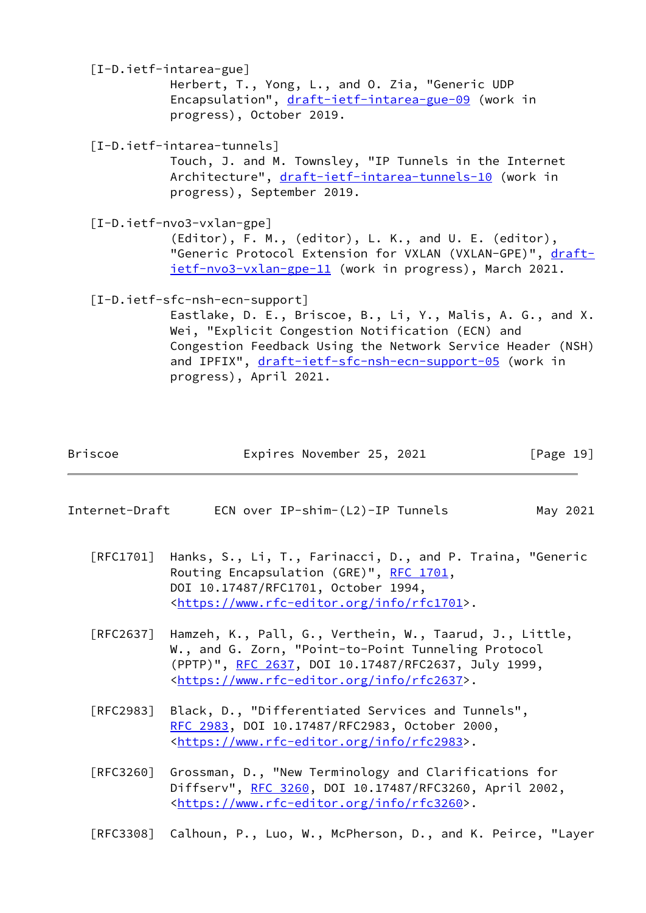<span id="page-21-2"></span><span id="page-21-1"></span><span id="page-21-0"></span> [I-D.ietf-intarea-gue] Herbert, T., Yong, L., and O. Zia, "Generic UDP Encapsulation", [draft-ietf-intarea-gue-09](https://datatracker.ietf.org/doc/pdf/draft-ietf-intarea-gue-09) (work in progress), October 2019. [I-D.ietf-intarea-tunnels] Touch, J. and M. Townsley, "IP Tunnels in the Internet Architecture", [draft-ietf-intarea-tunnels-10](https://datatracker.ietf.org/doc/pdf/draft-ietf-intarea-tunnels-10) (work in progress), September 2019. [I-D.ietf-nvo3-vxlan-gpe] (Editor), F. M., (editor), L. K., and U. E. (editor), "Generic Protocol Extension for VXLAN (VXLAN-GPE)", [draft](https://datatracker.ietf.org/doc/pdf/draft-ietf-nvo3-vxlan-gpe-11) [ietf-nvo3-vxlan-gpe-11](https://datatracker.ietf.org/doc/pdf/draft-ietf-nvo3-vxlan-gpe-11) (work in progress), March 2021. [I-D.ietf-sfc-nsh-ecn-support] Eastlake, D. E., Briscoe, B., Li, Y., Malis, A. G., and X. Wei, "Explicit Congestion Notification (ECN) and Congestion Feedback Using the Network Service Header (NSH) and IPFIX", [draft-ietf-sfc-nsh-ecn-support-05](https://datatracker.ietf.org/doc/pdf/draft-ietf-sfc-nsh-ecn-support-05) (work in progress), April 2021.

<span id="page-21-3"></span>

| Briscoe | Expires November 25, 2021 | [Page 19] |
|---------|---------------------------|-----------|
|         |                           |           |
|         |                           |           |

| Internet-Draft | ECN over IP-shim-(L2)-IP Tunnels | May 2021 |
|----------------|----------------------------------|----------|
|----------------|----------------------------------|----------|

- [RFC1701] Hanks, S., Li, T., Farinacci, D., and P. Traina, "Generic Routing Encapsulation (GRE)", [RFC 1701](https://datatracker.ietf.org/doc/pdf/rfc1701), DOI 10.17487/RFC1701, October 1994, <[https://www.rfc-editor.org/info/rfc1701>](https://www.rfc-editor.org/info/rfc1701).
- [RFC2637] Hamzeh, K., Pall, G., Verthein, W., Taarud, J., Little, W., and G. Zorn, "Point-to-Point Tunneling Protocol (PPTP)", [RFC 2637,](https://datatracker.ietf.org/doc/pdf/rfc2637) DOI 10.17487/RFC2637, July 1999, <[https://www.rfc-editor.org/info/rfc2637>](https://www.rfc-editor.org/info/rfc2637).
- [RFC2983] Black, D., "Differentiated Services and Tunnels", [RFC 2983,](https://datatracker.ietf.org/doc/pdf/rfc2983) DOI 10.17487/RFC2983, October 2000, <[https://www.rfc-editor.org/info/rfc2983>](https://www.rfc-editor.org/info/rfc2983).
- [RFC3260] Grossman, D., "New Terminology and Clarifications for Diffserv", [RFC 3260](https://datatracker.ietf.org/doc/pdf/rfc3260), DOI 10.17487/RFC3260, April 2002, <[https://www.rfc-editor.org/info/rfc3260>](https://www.rfc-editor.org/info/rfc3260).

[RFC3308] Calhoun, P., Luo, W., McPherson, D., and K. Peirce, "Layer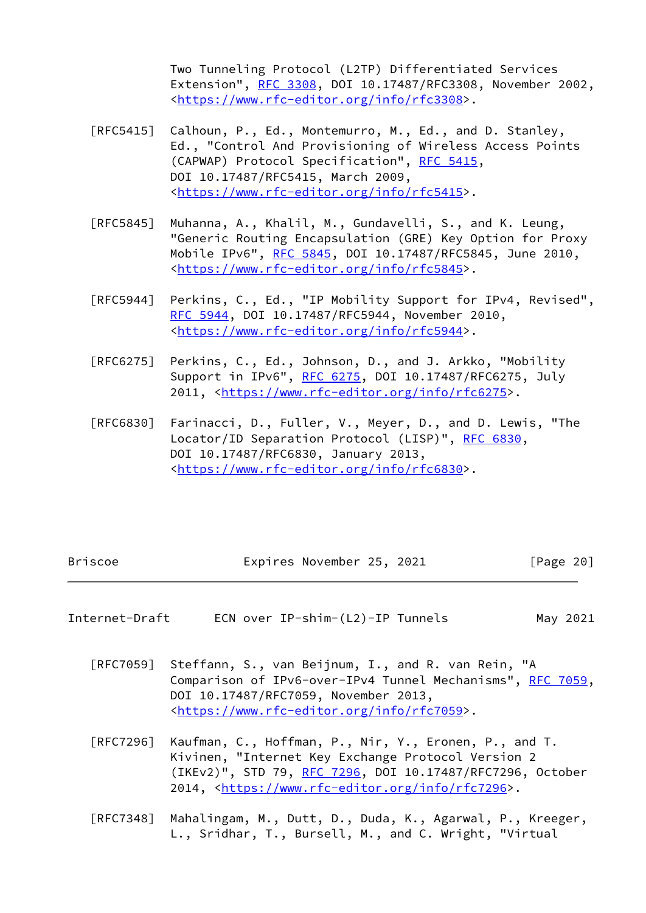Two Tunneling Protocol (L2TP) Differentiated Services Extension", [RFC 3308,](https://datatracker.ietf.org/doc/pdf/rfc3308) DOI 10.17487/RFC3308, November 2002, <[https://www.rfc-editor.org/info/rfc3308>](https://www.rfc-editor.org/info/rfc3308).

- [RFC5415] Calhoun, P., Ed., Montemurro, M., Ed., and D. Stanley, Ed., "Control And Provisioning of Wireless Access Points (CAPWAP) Protocol Specification", [RFC 5415](https://datatracker.ietf.org/doc/pdf/rfc5415), DOI 10.17487/RFC5415, March 2009, <[https://www.rfc-editor.org/info/rfc5415>](https://www.rfc-editor.org/info/rfc5415).
- [RFC5845] Muhanna, A., Khalil, M., Gundavelli, S., and K. Leung, "Generic Routing Encapsulation (GRE) Key Option for Proxy Mobile IPv6", [RFC 5845](https://datatracker.ietf.org/doc/pdf/rfc5845), DOI 10.17487/RFC5845, June 2010, <[https://www.rfc-editor.org/info/rfc5845>](https://www.rfc-editor.org/info/rfc5845).
- [RFC5944] Perkins, C., Ed., "IP Mobility Support for IPv4, Revised", [RFC 5944,](https://datatracker.ietf.org/doc/pdf/rfc5944) DOI 10.17487/RFC5944, November 2010, <[https://www.rfc-editor.org/info/rfc5944>](https://www.rfc-editor.org/info/rfc5944).
- [RFC6275] Perkins, C., Ed., Johnson, D., and J. Arkko, "Mobility Support in IPv6", [RFC 6275](https://datatracker.ietf.org/doc/pdf/rfc6275), DOI 10.17487/RFC6275, July 2011, [<https://www.rfc-editor.org/info/rfc6275](https://www.rfc-editor.org/info/rfc6275)>.
- [RFC6830] Farinacci, D., Fuller, V., Meyer, D., and D. Lewis, "The Locator/ID Separation Protocol (LISP)", [RFC 6830,](https://datatracker.ietf.org/doc/pdf/rfc6830) DOI 10.17487/RFC6830, January 2013, <[https://www.rfc-editor.org/info/rfc6830>](https://www.rfc-editor.org/info/rfc6830).

| Briscoe | Expires November 25, 2021 | [Page 20] |
|---------|---------------------------|-----------|
|---------|---------------------------|-----------|

- Internet-Draft ECN over IP-shim-(L2)-IP Tunnels May 2021
	- [RFC7059] Steffann, S., van Beijnum, I., and R. van Rein, "A Comparison of IPv6-over-IPv4 Tunnel Mechanisms", [RFC 7059,](https://datatracker.ietf.org/doc/pdf/rfc7059) DOI 10.17487/RFC7059, November 2013, <[https://www.rfc-editor.org/info/rfc7059>](https://www.rfc-editor.org/info/rfc7059).
	- [RFC7296] Kaufman, C., Hoffman, P., Nir, Y., Eronen, P., and T. Kivinen, "Internet Key Exchange Protocol Version 2 (IKEv2)", STD 79, [RFC 7296](https://datatracker.ietf.org/doc/pdf/rfc7296), DOI 10.17487/RFC7296, October 2014, [<https://www.rfc-editor.org/info/rfc7296](https://www.rfc-editor.org/info/rfc7296)>.
	- [RFC7348] Mahalingam, M., Dutt, D., Duda, K., Agarwal, P., Kreeger, L., Sridhar, T., Bursell, M., and C. Wright, "Virtual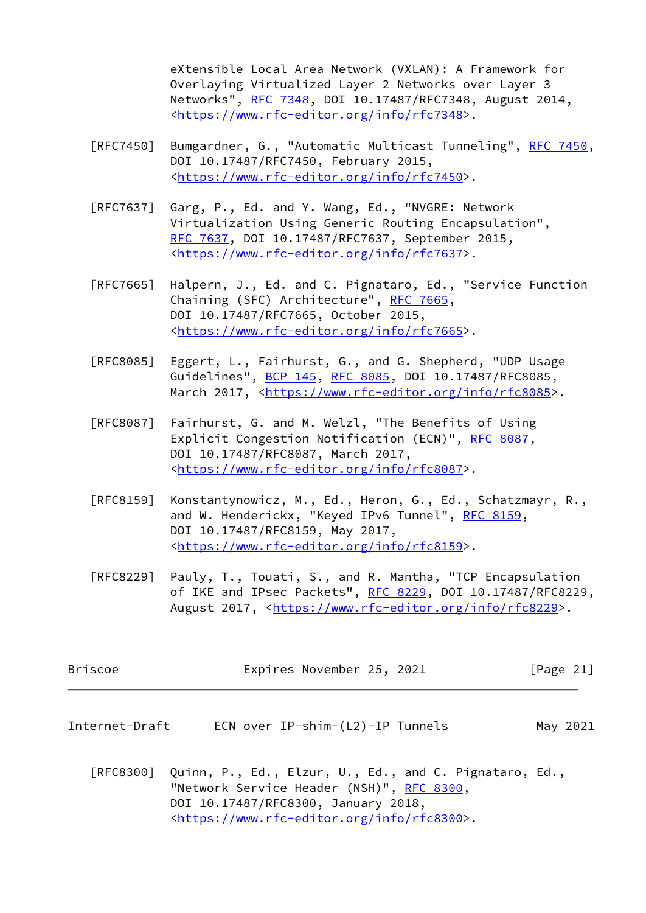eXtensible Local Area Network (VXLAN): A Framework for Overlaying Virtualized Layer 2 Networks over Layer 3 Networks", [RFC 7348](https://datatracker.ietf.org/doc/pdf/rfc7348), DOI 10.17487/RFC7348, August 2014, <[https://www.rfc-editor.org/info/rfc7348>](https://www.rfc-editor.org/info/rfc7348).

- [RFC7450] Bumgardner, G., "Automatic Multicast Tunneling", [RFC 7450,](https://datatracker.ietf.org/doc/pdf/rfc7450) DOI 10.17487/RFC7450, February 2015, <[https://www.rfc-editor.org/info/rfc7450>](https://www.rfc-editor.org/info/rfc7450).
- [RFC7637] Garg, P., Ed. and Y. Wang, Ed., "NVGRE: Network Virtualization Using Generic Routing Encapsulation", [RFC 7637,](https://datatracker.ietf.org/doc/pdf/rfc7637) DOI 10.17487/RFC7637, September 2015, <[https://www.rfc-editor.org/info/rfc7637>](https://www.rfc-editor.org/info/rfc7637).
- [RFC7665] Halpern, J., Ed. and C. Pignataro, Ed., "Service Function Chaining (SFC) Architecture", [RFC 7665](https://datatracker.ietf.org/doc/pdf/rfc7665), DOI 10.17487/RFC7665, October 2015, <[https://www.rfc-editor.org/info/rfc7665>](https://www.rfc-editor.org/info/rfc7665).
- [RFC8085] Eggert, L., Fairhurst, G., and G. Shepherd, "UDP Usage Guidelines", [BCP 145](https://datatracker.ietf.org/doc/pdf/bcp145), [RFC 8085](https://datatracker.ietf.org/doc/pdf/rfc8085), DOI 10.17487/RFC8085, March 2017, [<https://www.rfc-editor.org/info/rfc8085](https://www.rfc-editor.org/info/rfc8085)>.
- [RFC8087] Fairhurst, G. and M. Welzl, "The Benefits of Using Explicit Congestion Notification (ECN)", [RFC 8087,](https://datatracker.ietf.org/doc/pdf/rfc8087) DOI 10.17487/RFC8087, March 2017, <[https://www.rfc-editor.org/info/rfc8087>](https://www.rfc-editor.org/info/rfc8087).
- [RFC8159] Konstantynowicz, M., Ed., Heron, G., Ed., Schatzmayr, R., and W. Henderickx, "Keyed IPv6 Tunnel", [RFC 8159,](https://datatracker.ietf.org/doc/pdf/rfc8159) DOI 10.17487/RFC8159, May 2017, <[https://www.rfc-editor.org/info/rfc8159>](https://www.rfc-editor.org/info/rfc8159).
- [RFC8229] Pauly, T., Touati, S., and R. Mantha, "TCP Encapsulation of IKE and IPsec Packets", [RFC 8229](https://datatracker.ietf.org/doc/pdf/rfc8229), DOI 10.17487/RFC8229, August 2017, [<https://www.rfc-editor.org/info/rfc8229](https://www.rfc-editor.org/info/rfc8229)>.

| <b>Briscoe</b> | Expires November 25, 2021 |  | [Page 21] |
|----------------|---------------------------|--|-----------|
|----------------|---------------------------|--|-----------|

- <span id="page-23-0"></span>Internet-Draft ECN over IP-shim-(L2)-IP Tunnels May 2021
	- [RFC8300] Quinn, P., Ed., Elzur, U., Ed., and C. Pignataro, Ed., "Network Service Header (NSH)", [RFC 8300,](https://datatracker.ietf.org/doc/pdf/rfc8300) DOI 10.17487/RFC8300, January 2018, <[https://www.rfc-editor.org/info/rfc8300>](https://www.rfc-editor.org/info/rfc8300).